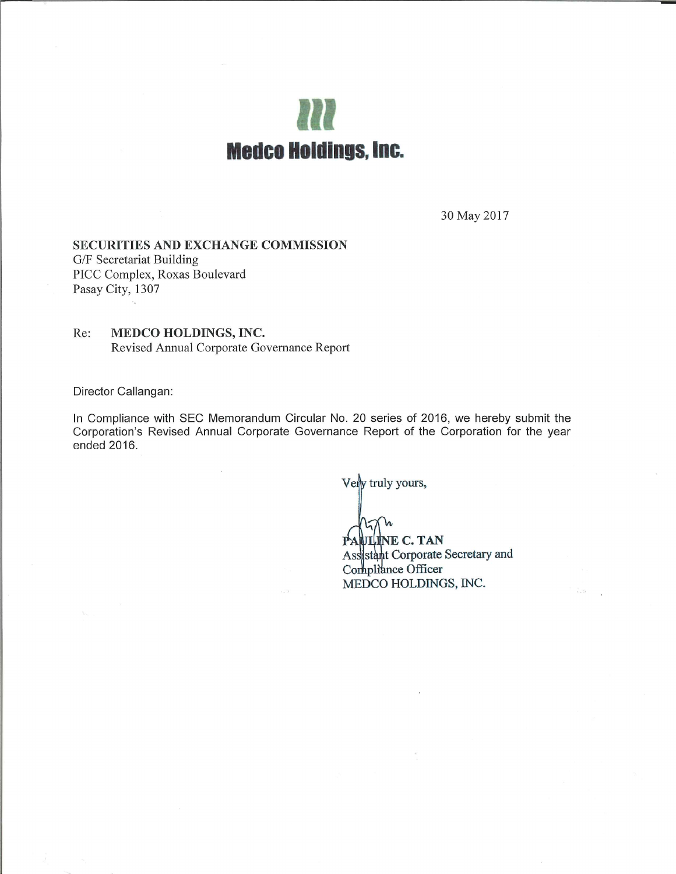

30 May 2017

### **SECURITIES AND EXCHANGE COMMISSION**

G/F Secretariat Building PICC Complex, Roxas Boulevard Pasay City, 1307

#### MEDCO HOLDINGS, INC. Re: Revised Annual Corporate Governance Report

Director Callangan:

In Compliance with SEC Memorandum Circular No. 20 series of 2016, we hereby submit the Corporation's Revised Annual Corporate Governance Report of the Corporation for the year ended 2016.

Very truly yours,

PAULINE C. TAN Assistant Corporate Secretary and Compliance Officer MEDCO HOLDINGS, INC.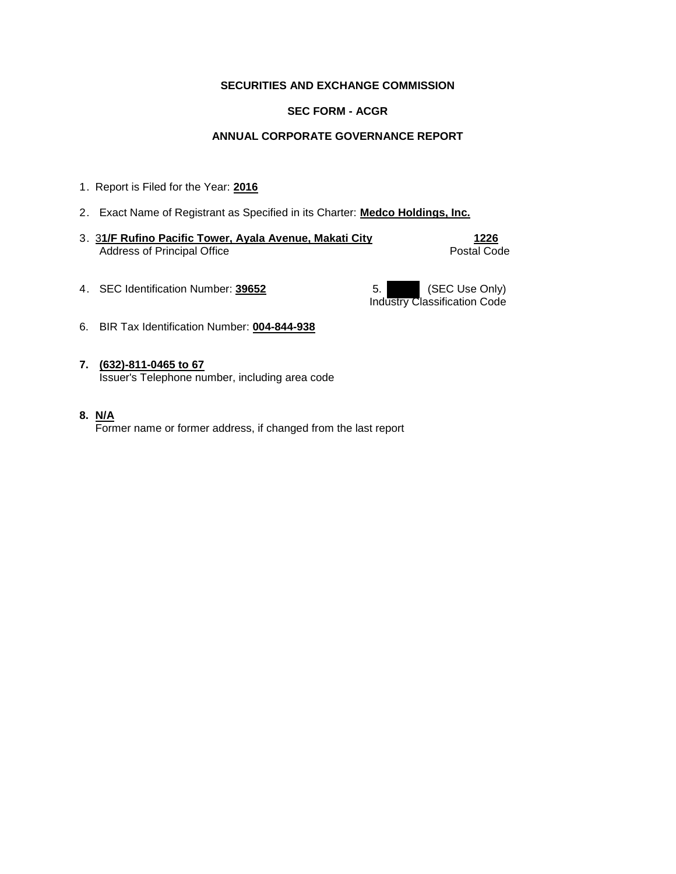### **SECURITIES AND EXCHANGE COMMISSION**

### **SEC FORM - ACGR**

### **ANNUAL CORPORATE GOVERNANCE REPORT**

- 1. Report is Filed for the Year: **2016**
- 2. Exact Name of Registrant as Specified in its Charter: **Medco Holdings, Inc.**
- 3. 3**1/F Rufino Pacific Tower, Ayala Avenue, Makati City 1226**  Address of Principal Office **Postal Code** Postal Code

4. SEC Identification Number: **39652** 5. SEC Use Only)

Industry Classification Code

- 6. BIR Tax Identification Number: **004-844-938**
- **7. (632)-811-0465 to 67** Issuer's Telephone number, including area code
- **8. N/A**

Former name or former address, if changed from the last report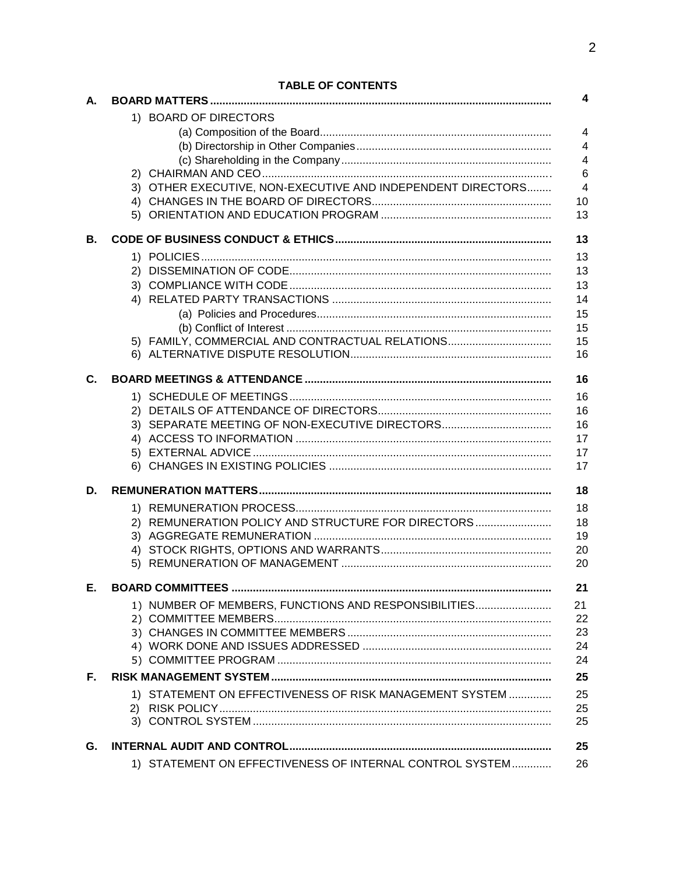|    | <b>I ADLE UF GUNTENTS</b>                                   | 4              |
|----|-------------------------------------------------------------|----------------|
| А. |                                                             |                |
|    | 1) BOARD OF DIRECTORS                                       |                |
|    |                                                             | $\overline{4}$ |
|    |                                                             | $\overline{4}$ |
|    |                                                             | $\overline{4}$ |
|    | 3) OTHER EXECUTIVE, NON-EXECUTIVE AND INDEPENDENT DIRECTORS | 6<br>4         |
|    |                                                             | 10             |
|    |                                                             | 13             |
|    |                                                             |                |
| В. |                                                             | 13             |
|    |                                                             | 13             |
|    |                                                             | 13             |
|    |                                                             | 13             |
|    |                                                             | 14             |
|    |                                                             | 15             |
|    |                                                             | 15             |
|    | 5) FAMILY, COMMERCIAL AND CONTRACTUAL RELATIONS             | 15<br>16       |
|    |                                                             |                |
| C. |                                                             | 16             |
|    |                                                             | 16             |
|    |                                                             | 16             |
|    | 3) SEPARATE MEETING OF NON-EXECUTIVE DIRECTORS              | 16             |
|    |                                                             | 17             |
|    |                                                             | 17             |
|    |                                                             | 17             |
| D. |                                                             | 18             |
|    |                                                             | 18             |
|    | 2) REMUNERATION POLICY AND STRUCTURE FOR DIRECTORS          | 18             |
|    |                                                             | 19             |
|    |                                                             | 20             |
|    | 5)                                                          | 20             |
| Е. |                                                             | 21             |
|    | 1) NUMBER OF MEMBERS, FUNCTIONS AND RESPONSIBILITIES        | 21             |
|    |                                                             | 22             |
|    |                                                             | 23             |
|    |                                                             | 24             |
|    |                                                             | 24             |
| Е. |                                                             | 25             |
|    | 1) STATEMENT ON EFFECTIVENESS OF RISK MANAGEMENT SYSTEM     | 25             |
|    |                                                             | 25             |
|    |                                                             | 25             |
| G. |                                                             | 25             |
|    | 1) STATEMENT ON EFFECTIVENESS OF INTERNAL CONTROL SYSTEM    | 26             |
|    |                                                             |                |

# TABLE OF CONTENTS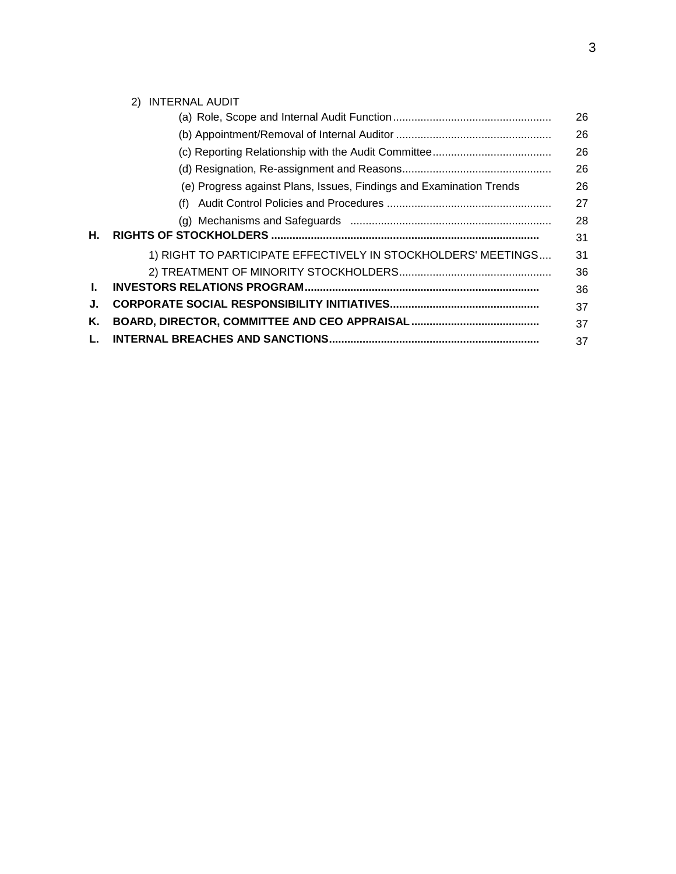|    | INTERNAL AUDIT<br>(2)                                               |    |
|----|---------------------------------------------------------------------|----|
|    |                                                                     | 26 |
|    |                                                                     | 26 |
|    |                                                                     | 26 |
|    |                                                                     | 26 |
|    | (e) Progress against Plans, Issues, Findings and Examination Trends | 26 |
|    | (f)                                                                 | 27 |
|    |                                                                     | 28 |
| Н. |                                                                     | 31 |
|    | 1) RIGHT TO PARTICIPATE EFFECTIVELY IN STOCKHOLDERS' MEETINGS       | 31 |
|    |                                                                     | 36 |
| L  |                                                                     | 36 |
| J. |                                                                     | 37 |
| Κ. |                                                                     | 37 |
|    |                                                                     | 37 |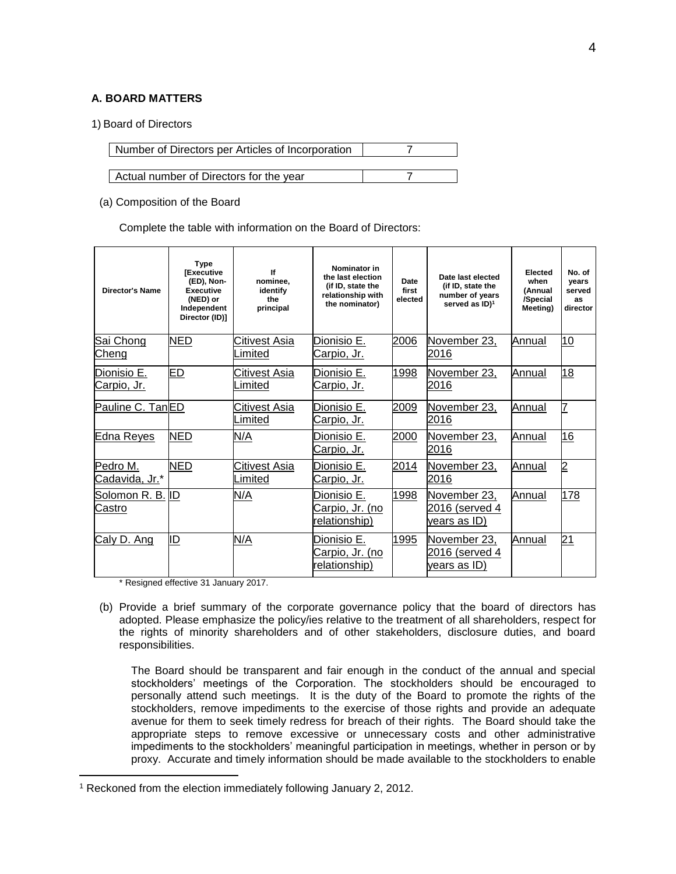### **A. BOARD MATTERS**

#### 1) Board of Directors

| Number of Directors per Articles of Incorporation |  |
|---------------------------------------------------|--|
|                                                   |  |
| Actual number of Directors for the year           |  |

#### (a) Composition of the Board

Complete the table with information on the Board of Directors:

| <b>Director's Name</b>            | <b>Type</b><br><b>IExecutive</b><br>(ED), Non-<br><b>Executive</b><br>(NED) or<br>Independent<br>Director (ID)] | lf<br>nominee,<br>identify<br>the<br>principal | Nominator in<br>the last election<br>(if ID, state the<br>relationship with<br>the nominator) | Date<br>first<br>elected | Date last elected<br>(if ID, state the<br>number of years<br>served as ID) <sup>1</sup> | Elected<br>when<br>(Annual<br>/Special<br>Meeting) | No. of<br>years<br>served<br>as<br>director |
|-----------------------------------|-----------------------------------------------------------------------------------------------------------------|------------------------------------------------|-----------------------------------------------------------------------------------------------|--------------------------|-----------------------------------------------------------------------------------------|----------------------------------------------------|---------------------------------------------|
| Sai Chong<br>Cheng                | <b>NED</b>                                                                                                      | Citivest Asia<br>Limited                       | Dionisio E.<br><u>Carpio, Jr.</u>                                                             | 2006                     | November 23,<br>2016                                                                    | Annual                                             | 10                                          |
| Dionisio E.<br><u>Carpio, Jr.</u> | <u>ED</u>                                                                                                       | Citivest Asia<br>Limited                       | Dionisio E.<br><u>Carpio, Jr.</u>                                                             | 1998                     | November 23,<br>2016                                                                    | Annual                                             | 18                                          |
| Pauline C. TanED                  |                                                                                                                 | Citivest Asia<br>Limited                       | Dionisio E.<br>Carpio, Jr.                                                                    | 2009                     | November 23,<br>2016                                                                    | <b>Annual</b>                                      | 7                                           |
| <b>Edna Reyes</b>                 | <b>NED</b>                                                                                                      | N/A                                            | Dionisio E.<br><u>Carpio, Jr.</u>                                                             | 2000                     | November 23,<br>2016                                                                    | Annual                                             | 16                                          |
| Pedro M.<br>Cadavida, Jr.*        | <b>NED</b>                                                                                                      | Citivest Asia<br>∟imited                       | Dionisio E.<br>Carpio, Jr.                                                                    | 2014                     | November 23,<br>2016                                                                    | Annual                                             | $\overline{2}$                              |
| Solomon R. B. ID<br><b>Castro</b> |                                                                                                                 | N/A                                            | Dionisio E.<br><u> Carpio, Jr. (no</u><br>relationship)                                       | 1998                     | November 23,<br>2016 (served 4<br><u>years as ID)</u>                                   | Annual                                             | 178                                         |
| Caly D. Ang                       | <u>ID</u>                                                                                                       | N/A                                            | Dionisio E.<br>Carpio, Jr. (no<br>relationship)                                               | 1995                     | November 23,<br>2016 (served 4<br><u>years as ID)</u>                                   | Annual                                             | 21                                          |

\* Resigned effective 31 January 2017.

 $\overline{a}$ 

(b) Provide a brief summary of the corporate governance policy that the board of directors has adopted. Please emphasize the policy/ies relative to the treatment of all shareholders, respect for the rights of minority shareholders and of other stakeholders, disclosure duties, and board responsibilities.

The Board should be transparent and fair enough in the conduct of the annual and special stockholders' meetings of the Corporation. The stockholders should be encouraged to personally attend such meetings. It is the duty of the Board to promote the rights of the stockholders, remove impediments to the exercise of those rights and provide an adequate avenue for them to seek timely redress for breach of their rights. The Board should take the appropriate steps to remove excessive or unnecessary costs and other administrative impediments to the stockholders' meaningful participation in meetings, whether in person or by proxy. Accurate and timely information should be made available to the stockholders to enable

<sup>1</sup> Reckoned from the election immediately following January 2, 2012.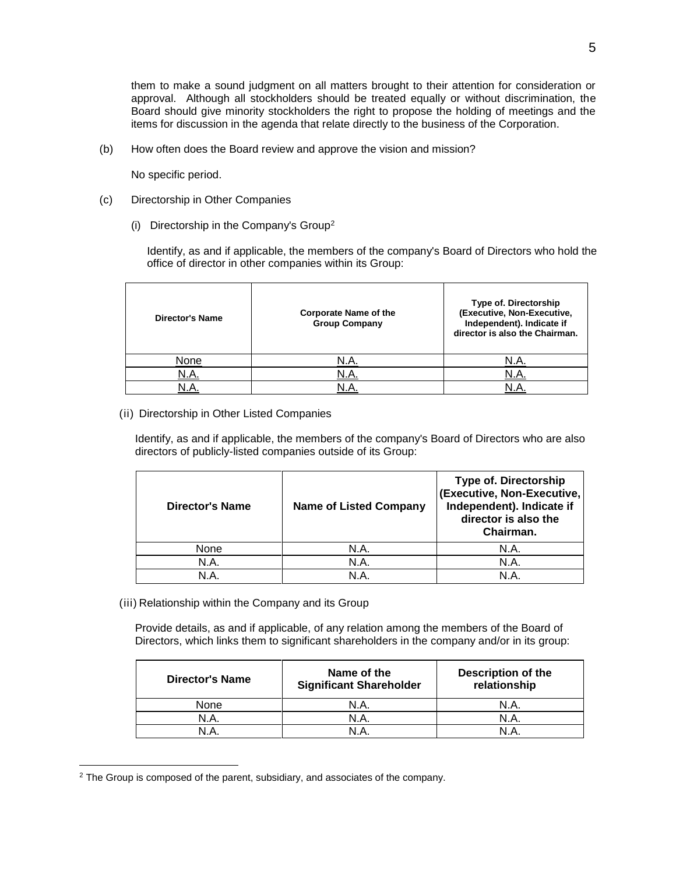them to make a sound judgment on all matters brought to their attention for consideration or approval. Although all stockholders should be treated equally or without discrimination, the Board should give minority stockholders the right to propose the holding of meetings and the items for discussion in the agenda that relate directly to the business of the Corporation.

(b) How often does the Board review and approve the vision and mission?

No specific period.

- (c) Directorship in Other Companies
	- (i) Directorship in the Company's Group<sup>2</sup>

Identify, as and if applicable, the members of the company's Board of Directors who hold the office of director in other companies within its Group:

| <b>Director's Name</b> | <b>Corporate Name of the</b><br><b>Group Company</b> | Type of. Directorship<br>(Executive, Non-Executive,<br>Independent). Indicate if<br>director is also the Chairman. |
|------------------------|------------------------------------------------------|--------------------------------------------------------------------------------------------------------------------|
| None                   | N.A.                                                 | N.A                                                                                                                |
| <u>N.A.</u>            | N.A.                                                 |                                                                                                                    |
|                        |                                                      |                                                                                                                    |

(ii) Directorship in Other Listed Companies

Identify, as and if applicable, the members of the company's Board of Directors who are also directors of publicly-listed companies outside of its Group:

| Director's Name | <b>Name of Listed Company</b> | <b>Type of. Directorship</b><br>(Executive, Non-Executive,<br>Independent). Indicate if<br>director is also the<br>Chairman. |
|-----------------|-------------------------------|------------------------------------------------------------------------------------------------------------------------------|
| None            | N.A.                          | N.A.                                                                                                                         |
| N.A.            | N.A.                          | N.A.                                                                                                                         |
| N A             |                               | N A                                                                                                                          |

(iii) Relationship within the Company and its Group

Provide details, as and if applicable, of any relation among the members of the Board of Directors, which links them to significant shareholders in the company and/or in its group:

| <b>Director's Name</b> | Name of the<br><b>Significant Shareholder</b> | <b>Description of the</b><br>relationship |
|------------------------|-----------------------------------------------|-------------------------------------------|
| None                   | N.A.                                          | N.A.                                      |
| N.A.                   | N.A.                                          | N.A.                                      |
| I A                    | N A                                           |                                           |

<sup>&</sup>lt;sup>2</sup> The Group is composed of the parent, subsidiary, and associates of the company.

 $\overline{a}$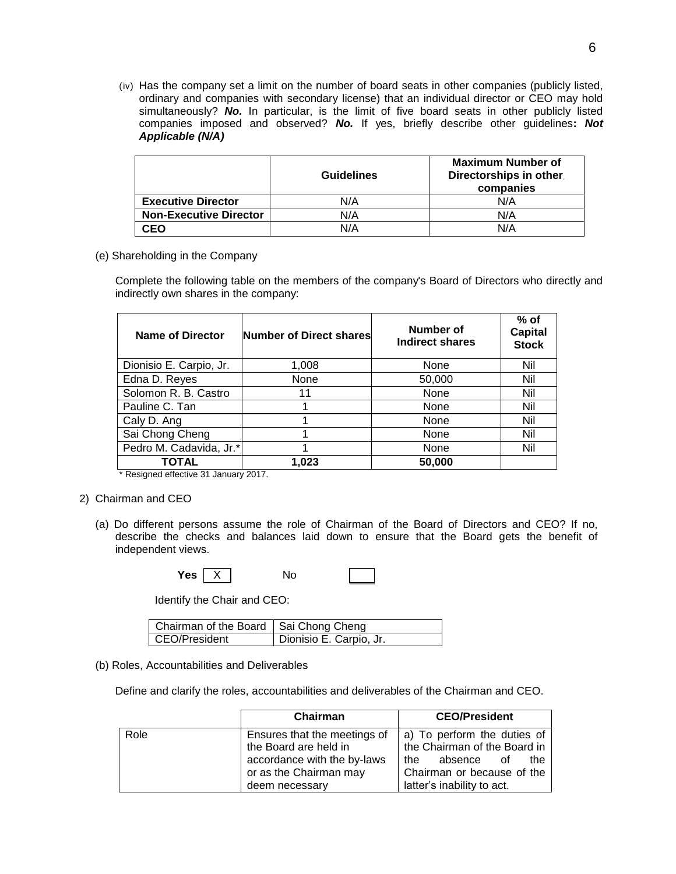(iv) Has the company set a limit on the number of board seats in other companies (publicly listed, ordinary and companies with secondary license) that an individual director or CEO may hold simultaneously? No. In particular, is the limit of five board seats in other publicly listed companies imposed and observed? *No.* If yes, briefly describe other guidelines**:** *Not Applicable (N/A)*

|                               | <b>Guidelines</b> | <b>Maximum Number of</b><br>Directorships in other.<br>companies |
|-------------------------------|-------------------|------------------------------------------------------------------|
| <b>Executive Director</b>     | N/A               | N/A                                                              |
| <b>Non-Executive Director</b> | N/A               | N/A                                                              |
| <b>CEO</b>                    | N/A               | N/A                                                              |

(e) Shareholding in the Company

Complete the following table on the members of the company's Board of Directors who directly and indirectly own shares in the company:

| Name of Director        | Number of Direct shares | Number of<br><b>Indirect shares</b> | $%$ of<br><b>Capital</b><br><b>Stock</b> |
|-------------------------|-------------------------|-------------------------------------|------------------------------------------|
| Dionisio E. Carpio, Jr. | 1,008                   | None                                | Nil                                      |
| Edna D. Reyes           | None                    | 50,000                              | Nil                                      |
| Solomon R. B. Castro    | 11                      | None                                | Nil                                      |
| Pauline C. Tan          |                         | None                                | Nil                                      |
| Caly D. Ang             |                         | None                                | Nil                                      |
| Sai Chong Cheng         |                         | None                                | Nil                                      |
| Pedro M. Cadavida, Jr.* |                         | None                                | Nil                                      |
| TOTAL                   | 1,023                   | 50,000                              |                                          |

\* Resigned effective 31 January 2017.

- 2) Chairman and CEO
	- (a) Do different persons assume the role of Chairman of the Board of Directors and CEO? If no, describe the checks and balances laid down to ensure that the Board gets the benefit of independent views.

| Yes | $\checkmark$<br>⋏ | No.<br>__ |  |  |
|-----|-------------------|-----------|--|--|
|-----|-------------------|-----------|--|--|

Identify the Chair and CEO:

| Chairman of the Board   Sai Chong Cheng |                         |
|-----------------------------------------|-------------------------|
| CEO/President                           | Dionisio E. Carpio, Jr. |

#### (b) Roles, Accountabilities and Deliverables

Define and clarify the roles, accountabilities and deliverables of the Chairman and CEO.

|      | Chairman                     | <b>CEO/President</b>         |
|------|------------------------------|------------------------------|
| Role | Ensures that the meetings of | a) To perform the duties of  |
|      | the Board are held in        | the Chairman of the Board in |
|      | accordance with the by-laws  | absence<br>the<br>the<br>of  |
|      | or as the Chairman may       | Chairman or because of the   |
|      | deem necessary               | latter's inability to act.   |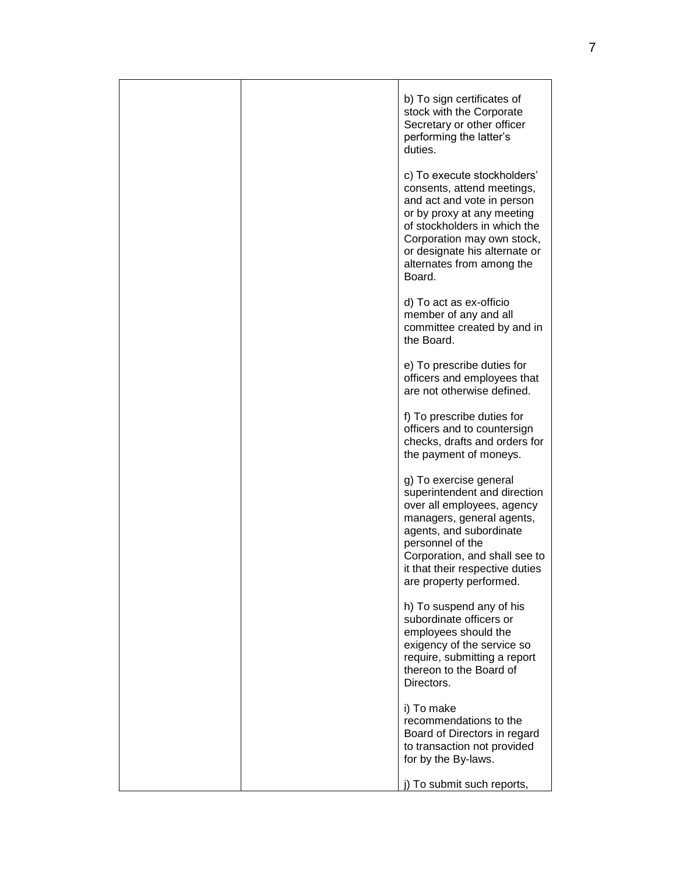|  | b) To sign certificates of<br>stock with the Corporate<br>Secretary or other officer<br>performing the latter's<br>duties.                                                                                                                                      |
|--|-----------------------------------------------------------------------------------------------------------------------------------------------------------------------------------------------------------------------------------------------------------------|
|  | c) To execute stockholders'<br>consents, attend meetings,<br>and act and vote in person<br>or by proxy at any meeting<br>of stockholders in which the<br>Corporation may own stock,<br>or designate his alternate or<br>alternates from among the<br>Board.     |
|  | d) To act as ex-officio<br>member of any and all<br>committee created by and in<br>the Board.                                                                                                                                                                   |
|  | e) To prescribe duties for<br>officers and employees that<br>are not otherwise defined.                                                                                                                                                                         |
|  | f) To prescribe duties for<br>officers and to countersign<br>checks, drafts and orders for<br>the payment of moneys.                                                                                                                                            |
|  | g) To exercise general<br>superintendent and direction<br>over all employees, agency<br>managers, general agents,<br>agents, and subordinate<br>personnel of the<br>Corporation, and shall see to<br>it that their respective duties<br>are property performed. |
|  | h) To suspend any of his<br>subordinate officers or<br>employees should the<br>exigency of the service so<br>require, submitting a report<br>thereon to the Board of<br>Directors.                                                                              |
|  | i) To make<br>recommendations to the<br>Board of Directors in regard<br>to transaction not provided<br>for by the By-laws.                                                                                                                                      |
|  | To submit such reports,                                                                                                                                                                                                                                         |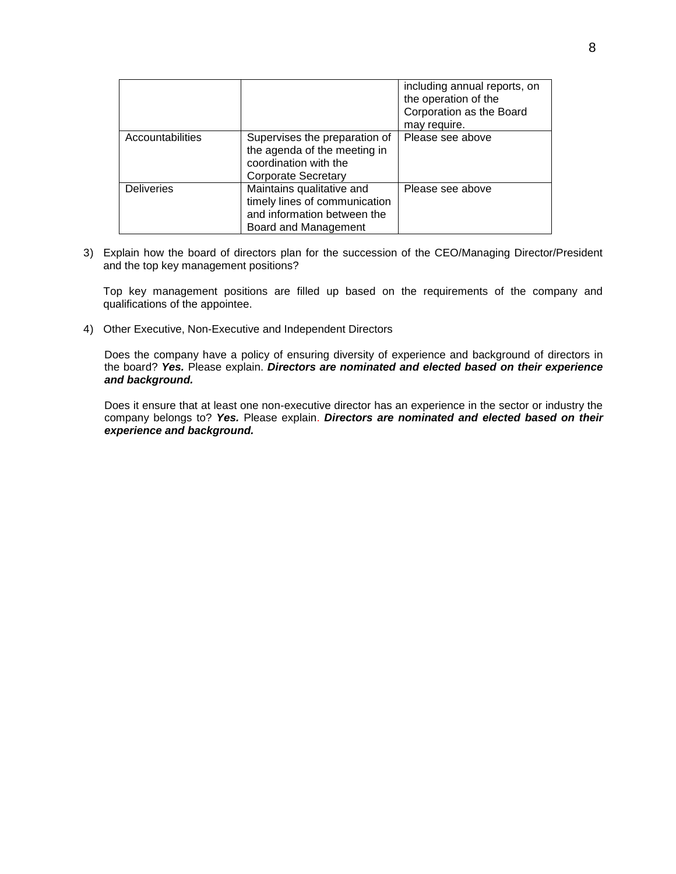|                   |                                                                                                                      | including annual reports, on<br>the operation of the<br>Corporation as the Board<br>may require. |
|-------------------|----------------------------------------------------------------------------------------------------------------------|--------------------------------------------------------------------------------------------------|
| Accountabilities  | Supervises the preparation of<br>the agenda of the meeting in<br>coordination with the<br><b>Corporate Secretary</b> | Please see above                                                                                 |
| <b>Deliveries</b> | Maintains qualitative and<br>timely lines of communication<br>and information between the<br>Board and Management    | Please see above                                                                                 |

3) Explain how the board of directors plan for the succession of the CEO/Managing Director/President and the top key management positions?

Top key management positions are filled up based on the requirements of the company and qualifications of the appointee.

4) Other Executive, Non-Executive and Independent Directors

Does the company have a policy of ensuring diversity of experience and background of directors in the board? *Yes.* Please explain. *Directors are nominated and elected based on their experience and background.*

Does it ensure that at least one non-executive director has an experience in the sector or industry the company belongs to? *Yes.* Please explain. *Directors are nominated and elected based on their experience and background.*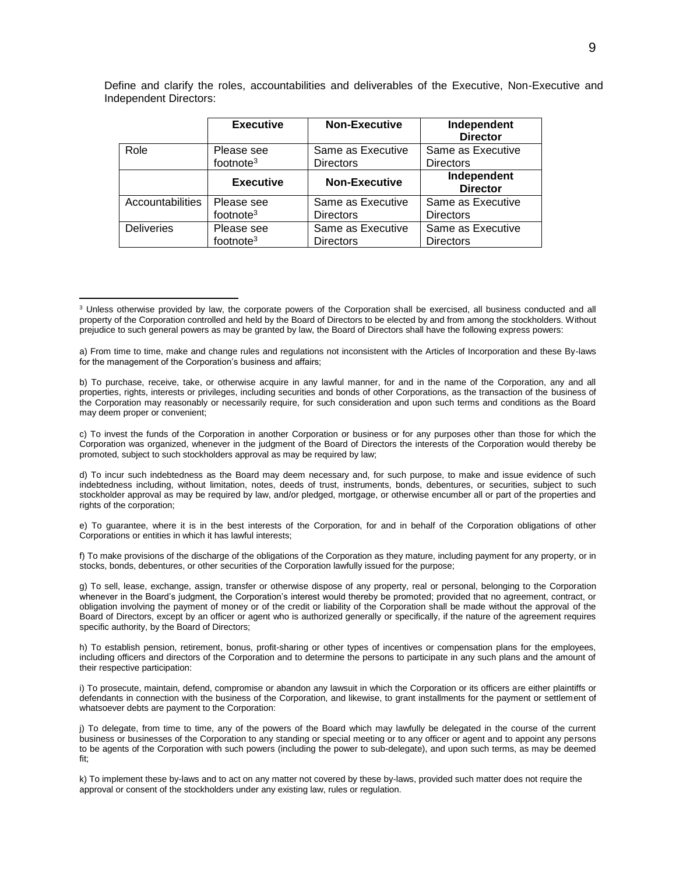Define and clarify the roles, accountabilities and deliverables of the Executive, Non-Executive and Independent Directors:

|                   | <b>Executive</b>      | <b>Non-Executive</b> | Independent<br><b>Director</b> |
|-------------------|-----------------------|----------------------|--------------------------------|
| Role              | Please see            | Same as Executive    | Same as Executive              |
|                   | footnote $3$          | <b>Directors</b>     | <b>Directors</b>               |
|                   | <b>Executive</b>      | <b>Non-Executive</b> | Independent<br><b>Director</b> |
| Accountabilities  | Please see            | Same as Executive    | Same as Executive              |
|                   | footnote $3$          | <b>Directors</b>     | <b>Directors</b>               |
| <b>Deliveries</b> | Please see            | Same as Executive    | Same as Executive              |
|                   | footnote <sup>3</sup> | <b>Directors</b>     | <b>Directors</b>               |

 $\overline{a}$ 

c) To invest the funds of the Corporation in another Corporation or business or for any purposes other than those for which the Corporation was organized, whenever in the judgment of the Board of Directors the interests of the Corporation would thereby be promoted, subject to such stockholders approval as may be required by law;

d) To incur such indebtedness as the Board may deem necessary and, for such purpose, to make and issue evidence of such indebtedness including, without limitation, notes, deeds of trust, instruments, bonds, debentures, or securities, subject to such stockholder approval as may be required by law, and/or pledged, mortgage, or otherwise encumber all or part of the properties and rights of the corporation;

e) To guarantee, where it is in the best interests of the Corporation, for and in behalf of the Corporation obligations of other Corporations or entities in which it has lawful interests;

f) To make provisions of the discharge of the obligations of the Corporation as they mature, including payment for any property, or in stocks, bonds, debentures, or other securities of the Corporation lawfully issued for the purpose;

g) To sell, lease, exchange, assign, transfer or otherwise dispose of any property, real or personal, belonging to the Corporation whenever in the Board's judgment, the Corporation's interest would thereby be promoted; provided that no agreement, contract, or obligation involving the payment of money or of the credit or liability of the Corporation shall be made without the approval of the Board of Directors, except by an officer or agent who is authorized generally or specifically, if the nature of the agreement requires specific authority, by the Board of Directors;

h) To establish pension, retirement, bonus, profit-sharing or other types of incentives or compensation plans for the employees, including officers and directors of the Corporation and to determine the persons to participate in any such plans and the amount of their respective participation:

i) To prosecute, maintain, defend, compromise or abandon any lawsuit in which the Corporation or its officers are either plaintiffs or defendants in connection with the business of the Corporation, and likewise, to grant installments for the payment or settlement of whatsoever debts are payment to the Corporation:

j) To delegate, from time to time, any of the powers of the Board which may lawfully be delegated in the course of the current business or businesses of the Corporation to any standing or special meeting or to any officer or agent and to appoint any persons to be agents of the Corporation with such powers (including the power to sub-delegate), and upon such terms, as may be deemed fit;

k) To implement these by-laws and to act on any matter not covered by these by-laws, provided such matter does not require the approval or consent of the stockholders under any existing law, rules or regulation.

<sup>&</sup>lt;sup>3</sup> Unless otherwise provided by law, the corporate powers of the Corporation shall be exercised, all business conducted and all property of the Corporation controlled and held by the Board of Directors to be elected by and from among the stockholders. Without prejudice to such general powers as may be granted by law, the Board of Directors shall have the following express powers:

a) From time to time, make and change rules and regulations not inconsistent with the Articles of Incorporation and these By-laws for the management of the Corporation's business and affairs;

b) To purchase, receive, take, or otherwise acquire in any lawful manner, for and in the name of the Corporation, any and all properties, rights, interests or privileges, including securities and bonds of other Corporations, as the transaction of the business of the Corporation may reasonably or necessarily require, for such consideration and upon such terms and conditions as the Board may deem proper or convenient;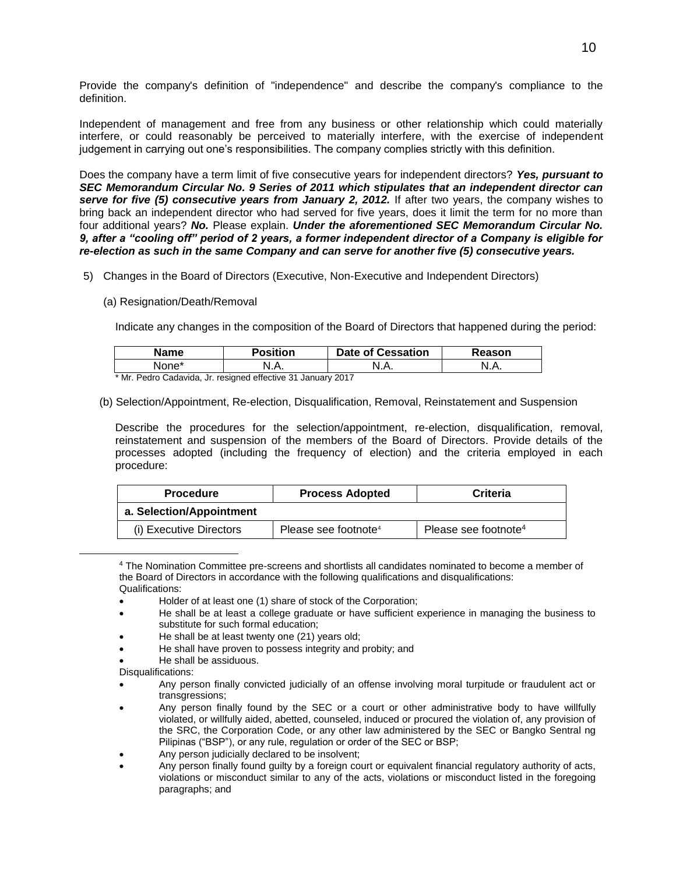Provide the company's definition of "independence" and describe the company's compliance to the definition.

Independent of management and free from any business or other relationship which could materially interfere, or could reasonably be perceived to materially interfere, with the exercise of independent judgement in carrying out one's responsibilities. The company complies strictly with this definition.

Does the company have a term limit of five consecutive years for independent directors? *Yes, pursuant to SEC Memorandum Circular No. 9 Series of 2011 which stipulates that an independent director can serve for five (5) consecutive years from January 2, 2012.* If after two years, the company wishes to bring back an independent director who had served for five years, does it limit the term for no more than four additional years? *No.* Please explain. *Under the aforementioned SEC Memorandum Circular No. 9, after a "cooling off" period of 2 years, a former independent director of a Company is eligible for re-election as such in the same Company and can serve for another five (5) consecutive years.*

- 5) Changes in the Board of Directors (Executive, Non-Executive and Independent Directors)
	- (a) Resignation/Death/Removal

Indicate any changes in the composition of the Board of Directors that happened during the period:

| <b>Name</b> | Position | <b>Date of Cessation</b> | Reason |
|-------------|----------|--------------------------|--------|
| ⊣None*      | N.A.     | N<br>                    | N.A.   |

\* Mr. Pedro Cadavida, Jr. resigned effective 31 January 2017

(b) Selection/Appointment, Re-election, Disqualification, Removal, Reinstatement and Suspension

Describe the procedures for the selection/appointment, re-election, disqualification, removal, reinstatement and suspension of the members of the Board of Directors. Provide details of the processes adopted (including the frequency of election) and the criteria employed in each procedure:

| <b>Procedure</b>         | <b>Process Adopted</b>           | Criteria                         |
|--------------------------|----------------------------------|----------------------------------|
| a. Selection/Appointment |                                  |                                  |
| (i) Executive Directors  | Please see footnote <sup>4</sup> | Please see footnote <sup>4</sup> |

<sup>4</sup> The Nomination Committee pre-screens and shortlists all candidates nominated to become a member of the Board of Directors in accordance with the following qualifications and disqualifications: Qualifications:

- Holder of at least one (1) share of stock of the Corporation;
- He shall be at least a college graduate or have sufficient experience in managing the business to substitute for such formal education;
- He shall be at least twenty one (21) years old;
- He shall have proven to possess integrity and probity; and
- He shall be assiduous.

Disqualifications:

 $\overline{a}$ 

- Any person finally convicted judicially of an offense involving moral turpitude or fraudulent act or transgressions;
- Any person finally found by the SEC or a court or other administrative body to have willfully violated, or willfully aided, abetted, counseled, induced or procured the violation of, any provision of the SRC, the Corporation Code, or any other law administered by the SEC or Bangko Sentral ng Pilipinas ("BSP"), or any rule, regulation or order of the SEC or BSP;
- Any person judicially declared to be insolvent;
- Any person finally found guilty by a foreign court or equivalent financial regulatory authority of acts, violations or misconduct similar to any of the acts, violations or misconduct listed in the foregoing paragraphs; and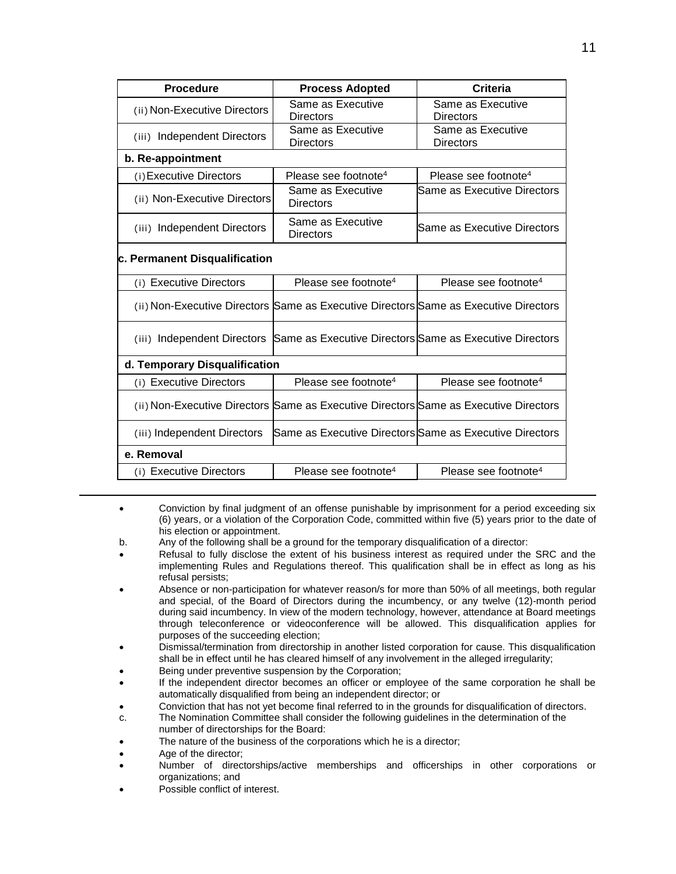| <b>Procedure</b>                      | <b>Process Adopted</b>                                                               | Criteria                              |
|---------------------------------------|--------------------------------------------------------------------------------------|---------------------------------------|
| (ii) Non-Executive Directors          | Same as Executive<br>Directors                                                       | Same as Executive<br>Directors        |
| (iii) Independent Directors           | Same as Executive<br><b>Directors</b>                                                | Same as Executive<br><b>Directors</b> |
| b. Re-appointment                     |                                                                                      |                                       |
| (i) Executive Directors               | Please see footnote <sup>4</sup>                                                     | Please see footnote <sup>4</sup>      |
| (ii) Non-Executive Directors          | Same as Executive<br><b>Directors</b>                                                | Same as Executive Directors           |
| (iii) Independent Directors           | Same as Executive<br><b>Directors</b>                                                | Same as Executive Directors           |
| c. Permanent Disqualification         |                                                                                      |                                       |
| (i) Executive Directors               | Please see footnote <sup>4</sup>                                                     | Please see footnote <sup>4</sup>      |
|                                       | (ii) Non-Executive Directors Same as Executive Directors Same as Executive Directors |                                       |
| <b>Independent Directors</b><br>(iii) | Same as Executive Directors Same as Executive Directors                              |                                       |
| d. Temporary Disqualification         |                                                                                      |                                       |
| (i) Executive Directors               | Please see footnote <sup>4</sup>                                                     | Please see footnote <sup>4</sup>      |
|                                       | (ii) Non-Executive Directors Same as Executive Directors Same as Executive Directors |                                       |
| (iii) Independent Directors           | Same as Executive Directors Same as Executive Directors                              |                                       |
| e. Removal                            |                                                                                      |                                       |
| (i) Executive Directors               | Please see footnote <sup>4</sup>                                                     | Please see footnote <sup>4</sup>      |

- Conviction by final judgment of an offense punishable by imprisonment for a period exceeding six (6) years, or a violation of the Corporation Code, committed within five (5) years prior to the date of his election or appointment.
- b. Any of the following shall be a ground for the temporary disqualification of a director:
- Refusal to fully disclose the extent of his business interest as required under the SRC and the implementing Rules and Regulations thereof. This qualification shall be in effect as long as his refusal persists;
- Absence or non-participation for whatever reason/s for more than 50% of all meetings, both regular and special, of the Board of Directors during the incumbency, or any twelve (12)-month period during said incumbency. In view of the modern technology, however, attendance at Board meetings through teleconference or videoconference will be allowed. This disqualification applies for purposes of the succeeding election;
- Dismissal/termination from directorship in another listed corporation for cause. This disqualification shall be in effect until he has cleared himself of any involvement in the alleged irregularity;
- Being under preventive suspension by the Corporation;
- If the independent director becomes an officer or employee of the same corporation he shall be automatically disqualified from being an independent director; or
- Conviction that has not yet become final referred to in the grounds for disqualification of directors.
- c. The Nomination Committee shall consider the following guidelines in the determination of the number of directorships for the Board:
- The nature of the business of the corporations which he is a director;
- Age of the director;

 $\overline{a}$ 

- Number of directorships/active memberships and officerships in other corporations or organizations; and
- Possible conflict of interest.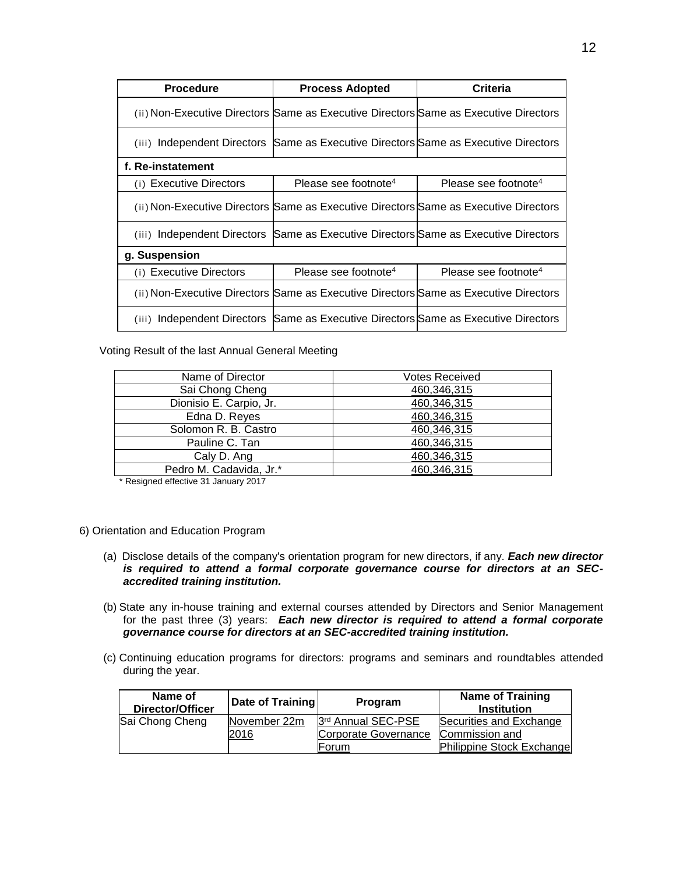| <b>Procedure</b>        | <b>Process Adopted</b>                                                               | Criteria                         |
|-------------------------|--------------------------------------------------------------------------------------|----------------------------------|
|                         | (ii) Non-Executive Directors Same as Executive Directors Same as Executive Directors |                                  |
| (iii)                   | Independent Directors Same as Executive Directors Same as Executive Directors        |                                  |
| f. Re-instatement       |                                                                                      |                                  |
| (i) Executive Directors | Please see footnote <sup>4</sup>                                                     | Please see footnote <sup>4</sup> |
|                         | (ii) Non-Executive Directors Same as Executive Directors Same as Executive Directors |                                  |
| (iii)                   | Independent Directors Same as Executive Directors Same as Executive Directors        |                                  |
| g. Suspension           |                                                                                      |                                  |
| (i) Executive Directors | Please see footnote <sup>4</sup>                                                     | Please see footnote <sup>4</sup> |
|                         | (ii) Non-Executive Directors Same as Executive Directors Same as Executive Directors |                                  |
| (iii)                   | Independent Directors Same as Executive Directors Same as Executive Directors        |                                  |

Voting Result of the last Annual General Meeting

| Name of Director        | <b>Votes Received</b> |
|-------------------------|-----------------------|
| Sai Chong Cheng         | 460,346,315           |
| Dionisio E. Carpio, Jr. | 460,346,315           |
| Edna D. Reyes           | 460,346,315           |
| Solomon R. B. Castro    | 460,346,315           |
| Pauline C. Tan          | 460,346,315           |
| Caly D. Ang             | 460,346,315           |
| Pedro M. Cadavida, Jr.* | 460,346,315           |
|                         |                       |

\* Resigned effective 31 January 2017

- 6) Orientation and Education Program
	- (a) Disclose details of the company's orientation program for new directors, if any. *Each new director is required to attend a formal corporate governance course for directors at an SECaccredited training institution.*
	- (b) State any in-house training and external courses attended by Directors and Senior Management for the past three (3) years: *Each new director is required to attend a formal corporate governance course for directors at an SEC-accredited training institution.*
	- (c) Continuing education programs for directors: programs and seminars and roundtables attended during the year.

| Name of<br><b>Director/Officer</b> | Date of Training | Program              | <b>Name of Training</b><br><b>Institution</b> |
|------------------------------------|------------------|----------------------|-----------------------------------------------|
| Sai Chong Cheng                    | November 22m     | 3rd Annual SEC-PSE   | Securities and Exchange                       |
|                                    | 2016             | Corporate Governance | Commission and                                |
|                                    |                  | lForum.              | Philippine Stock Exchange                     |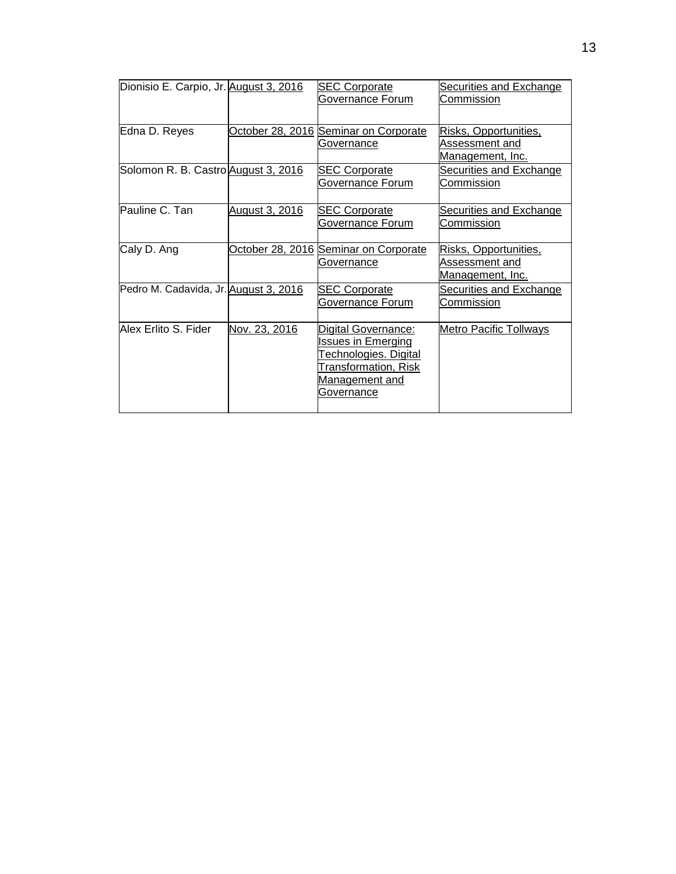| Dionisio E. Carpio, Jr. August 3, 2016 |                | <b>SEC Corporate</b><br>Governance Forum                                                                                          | <b>Securities and Exchange</b><br>Commission                       |
|----------------------------------------|----------------|-----------------------------------------------------------------------------------------------------------------------------------|--------------------------------------------------------------------|
| Edna D. Reyes                          |                | October 28, 2016 Seminar on Corporate<br>Governance                                                                               | Risks, Opportunities,<br>Assessment and<br><u>Management, Inc.</u> |
| Solomon R. B. Castro August 3, 2016    |                | <b>SEC Corporate</b><br>Governance Forum                                                                                          | <b>Securities and Exchange</b><br>Commission                       |
| Pauline C. Tan                         | August 3, 2016 | <b>SEC Corporate</b><br>Governance Forum                                                                                          | Securities and Exchange<br>Commission                              |
| Caly D. Ang                            |                | October 28, 2016 Seminar on Corporate<br>Governance                                                                               | Risks, Opportunities,<br>Assessment and<br><u>Management, Inc.</u> |
| Pedro M. Cadavida, Jr. August 3, 2016  |                | <b>SEC Corporate</b><br>Governance Forum                                                                                          | <b>Securities and Exchange</b><br>Commission                       |
| Alex Erlito S. Fider                   | Nov. 23, 2016  | Digital Governance:<br><b>Issues in Emerging</b><br>Technologies. Digital<br>Transformation, Risk<br>Management and<br>Governance | Metro Pacific Tollways                                             |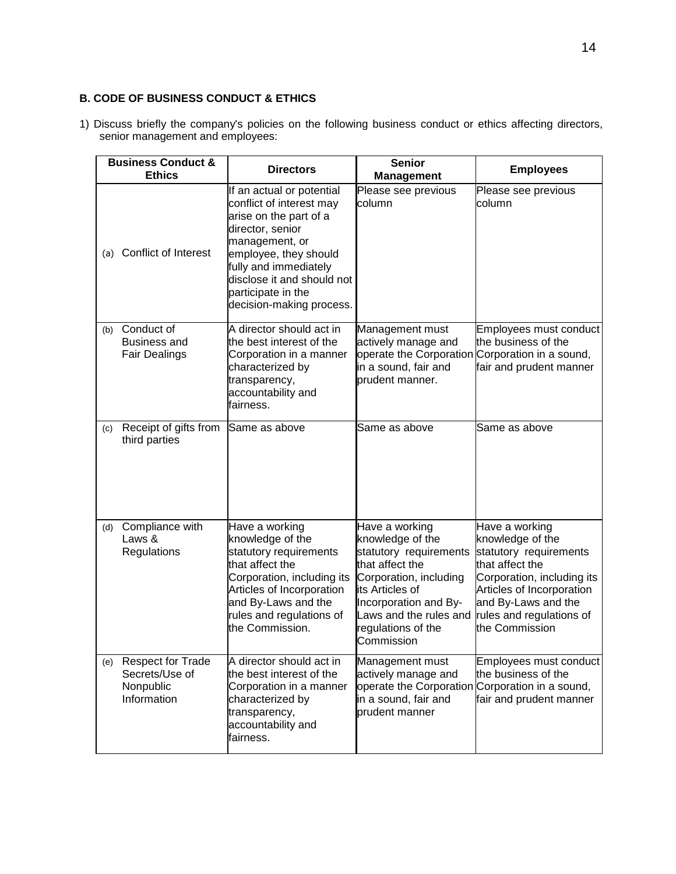# **B. CODE OF BUSINESS CONDUCT & ETHICS**

1) Discuss briefly the company's policies on the following business conduct or ethics affecting directors, senior management and employees:

|     | <b>Business Conduct &amp;</b><br><b>Ethics</b>                         | <b>Directors</b>                                                                                                                                                                                                                                        | <b>Senior</b><br><b>Management</b>                                                                                                                                                                                  | <b>Employees</b>                                                                                                                                                                                                |
|-----|------------------------------------------------------------------------|---------------------------------------------------------------------------------------------------------------------------------------------------------------------------------------------------------------------------------------------------------|---------------------------------------------------------------------------------------------------------------------------------------------------------------------------------------------------------------------|-----------------------------------------------------------------------------------------------------------------------------------------------------------------------------------------------------------------|
| (a) | Conflict of Interest                                                   | If an actual or potential<br>conflict of interest may<br>arise on the part of a<br>director, senior<br>management, or<br>employee, they should<br>fully and immediately<br>disclose it and should not<br>participate in the<br>decision-making process. | Please see previous<br>column                                                                                                                                                                                       | Please see previous<br>column                                                                                                                                                                                   |
| (b) | Conduct of<br><b>Business and</b><br><b>Fair Dealings</b>              | A director should act in<br>the best interest of the<br>Corporation in a manner<br>characterized by<br>transparency,<br>accountability and<br>fairness.                                                                                                 | Management must<br>actively manage and<br>in a sound, fair and<br>prudent manner.                                                                                                                                   | Employees must conduct<br>the business of the<br>operate the Corporation Corporation in a sound,<br>fair and prudent manner                                                                                     |
| (c) | Receipt of gifts from<br>third parties                                 | Same as above                                                                                                                                                                                                                                           | Same as above                                                                                                                                                                                                       | Same as above                                                                                                                                                                                                   |
| (d) | Compliance with<br>Laws &<br>Regulations                               | Have a working<br>knowledge of the<br>statutory requirements<br>that affect the<br>Corporation, including its<br>Articles of Incorporation<br>and By-Laws and the<br>rules and regulations of<br>the Commission.                                        | Have a working<br>knowledge of the<br>statutory requirements<br>that affect the<br>Corporation, including<br>its Articles of<br>Incorporation and By-<br>Laws and the rules and<br>regulations of the<br>Commission | Have a working<br>knowledge of the<br>statutory requirements<br>that affect the<br>Corporation, including its<br>Articles of Incorporation<br>and By-Laws and the<br>rules and regulations of<br>the Commission |
| (e) | <b>Respect for Trade</b><br>Secrets/Use of<br>Nonpublic<br>Information | A director should act in<br>the best interest of the<br>Corporation in a manner<br>characterized by<br>transparency,<br>accountability and<br>fairness.                                                                                                 | Management must<br>actively manage and<br>in a sound, fair and<br>prudent manner                                                                                                                                    | Employees must conduct<br>the business of the<br>operate the Corporation Corporation in a sound,<br>fair and prudent manner                                                                                     |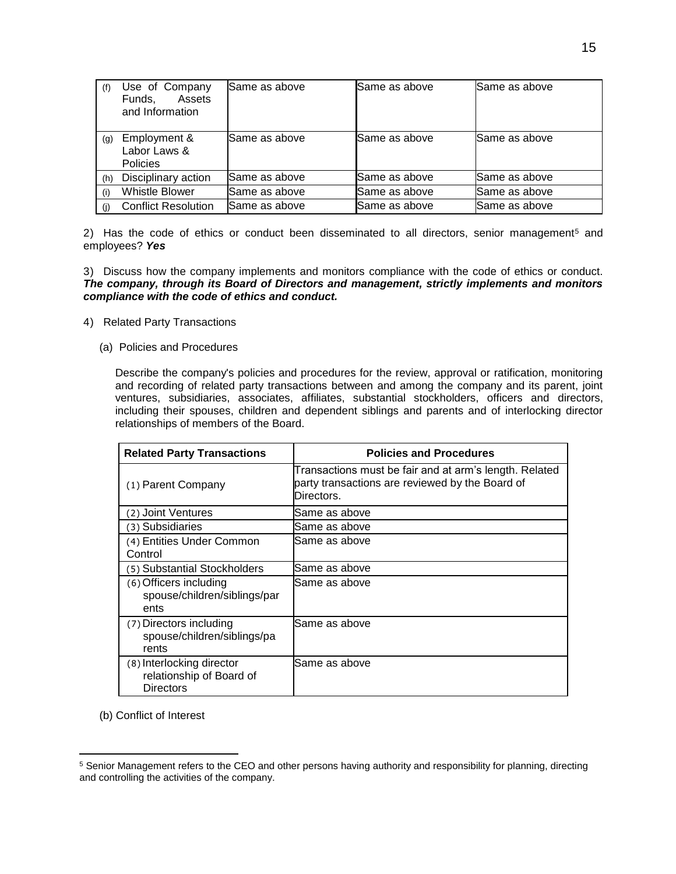| (f) | Use of Company<br>Assets<br>Funds.<br>and Information | <b>I</b> Same as above | Same as above | Same as above |
|-----|-------------------------------------------------------|------------------------|---------------|---------------|
| (g) | Employment &<br>Labor Laws &<br><b>Policies</b>       | Same as above          | Same as above | Same as above |
| (h) | Disciplinary action                                   | Same as above          | Same as above | Same as above |
| (i) | <b>Whistle Blower</b>                                 | Same as above          | Same as above | Same as above |
| (i) | <b>Conflict Resolution</b>                            | Same as above          | Same as above | Same as above |

2) Has the code of ethics or conduct been disseminated to all directors, senior management<sup>5</sup> and employees? *Yes*

#### 3) Discuss how the company implements and monitors compliance with the code of ethics or conduct. *The company, through its Board of Directors and management, strictly implements and monitors compliance with the code of ethics and conduct.*

- 4) Related Party Transactions
	- (a) Policies and Procedures

Describe the company's policies and procedures for the review, approval or ratification, monitoring and recording of related party transactions between and among the company and its parent, joint ventures, subsidiaries, associates, affiliates, substantial stockholders, officers and directors, including their spouses, children and dependent siblings and parents and of interlocking director relationships of members of the Board.

| <b>Related Party Transactions</b>                                         | <b>Policies and Procedures</b>                                                                                          |
|---------------------------------------------------------------------------|-------------------------------------------------------------------------------------------------------------------------|
| (1) Parent Company                                                        | Transactions must be fair and at arm's length. Related<br>party transactions are reviewed by the Board of<br>Directors. |
| (2) Joint Ventures                                                        | Same as above                                                                                                           |
| (3) Subsidiaries                                                          | Same as above                                                                                                           |
| (4) Entities Under Common<br>Control                                      | Same as above                                                                                                           |
| (5) Substantial Stockholders                                              | Same as above                                                                                                           |
| (6) Officers including<br>spouse/children/siblings/par<br>ents            | Same as above                                                                                                           |
| (7) Directors including<br>spouse/children/siblings/pa<br>rents           | Same as above                                                                                                           |
| (8) Interlocking director<br>relationship of Board of<br><b>Directors</b> | Same as above                                                                                                           |

(b) Conflict of Interest

 $\overline{a}$ 

<sup>5</sup> Senior Management refers to the CEO and other persons having authority and responsibility for planning, directing and controlling the activities of the company.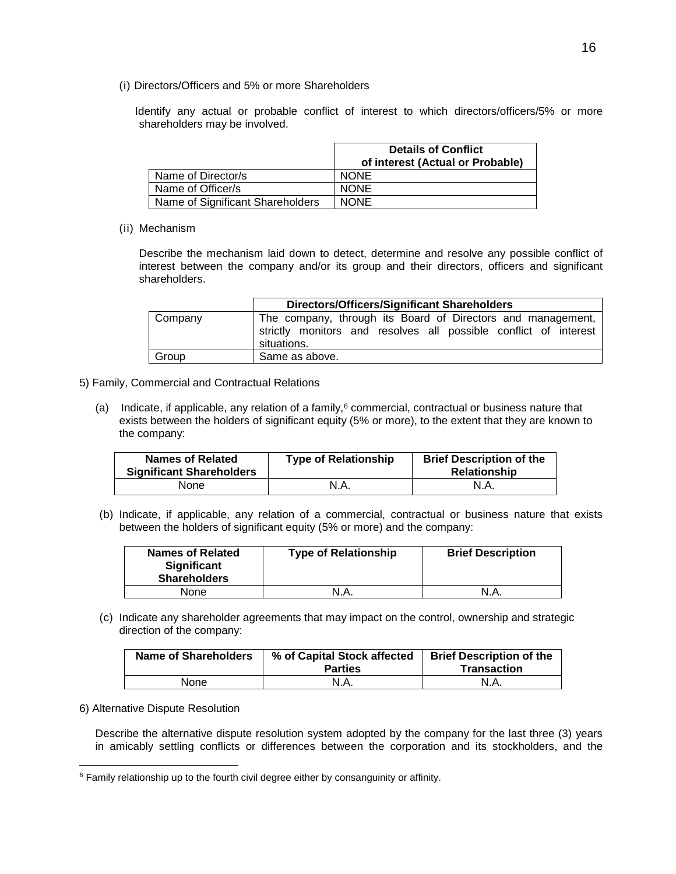(i) Directors/Officers and 5% or more Shareholders

Identify any actual or probable conflict of interest to which directors/officers/5% or more shareholders may be involved.

|                                  | <b>Details of Conflict</b><br>of interest (Actual or Probable) |
|----------------------------------|----------------------------------------------------------------|
| Name of Director/s               | <b>NONE</b>                                                    |
| Name of Officer/s                | <b>NONE</b>                                                    |
| Name of Significant Shareholders | <b>NONE</b>                                                    |

(ii) Mechanism

Describe the mechanism laid down to detect, determine and resolve any possible conflict of interest between the company and/or its group and their directors, officers and significant shareholders.

|         | Directors/Officers/Significant Shareholders                                                                                                    |  |
|---------|------------------------------------------------------------------------------------------------------------------------------------------------|--|
| Company | The company, through its Board of Directors and management,<br>strictly monitors and resolves all possible conflict of interest<br>situations. |  |
| Group   | Same as above.                                                                                                                                 |  |

- 5) Family, Commercial and Contractual Relations
	- (a) Indicate, if applicable, any relation of a family, $6$  commercial, contractual or business nature that exists between the holders of significant equity (5% or more), to the extent that they are known to the company:

| <b>Names of Related</b><br><b>Significant Shareholders</b> | <b>Type of Relationship</b> | <b>Brief Description of the</b><br><b>Relationship</b> |
|------------------------------------------------------------|-----------------------------|--------------------------------------------------------|
| None                                                       | N.A.                        | N.A.                                                   |

(b) Indicate, if applicable, any relation of a commercial, contractual or business nature that exists between the holders of significant equity (5% or more) and the company:

| Names of Related<br><b>Significant</b><br><b>Shareholders</b> | <b>Type of Relationship</b> | <b>Brief Description</b> |
|---------------------------------------------------------------|-----------------------------|--------------------------|
| None                                                          | N.A.                        | N.A.                     |

(c) Indicate any shareholder agreements that may impact on the control, ownership and strategic direction of the company:

| <b>Name of Shareholders</b> | % of Capital Stock affected<br><b>Parties</b> | <b>Brief Description of the</b><br>Transaction |
|-----------------------------|-----------------------------------------------|------------------------------------------------|
| None                        | N.A.                                          | N.A.                                           |

#### 6) Alternative Dispute Resolution

 $\overline{a}$ 

Describe the alternative dispute resolution system adopted by the company for the last three (3) years in amicably settling conflicts or differences between the corporation and its stockholders, and the

<sup>&</sup>lt;sup>6</sup> Family relationship up to the fourth civil degree either by consanguinity or affinity.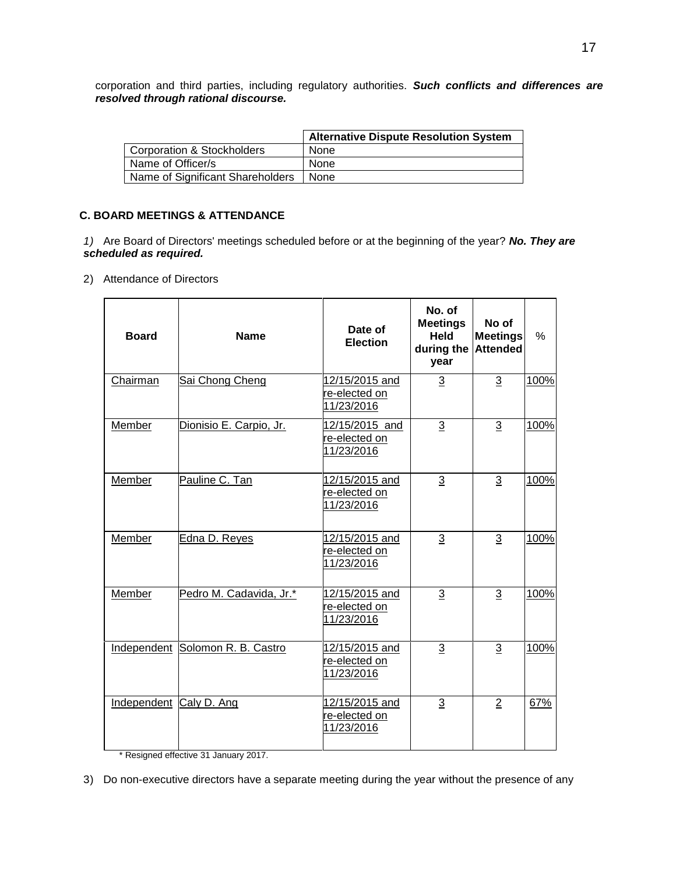corporation and third parties, including regulatory authorities. *Such conflicts and differences are resolved through rational discourse.*

|                                       | <b>Alternative Dispute Resolution System</b> |
|---------------------------------------|----------------------------------------------|
| <b>Corporation &amp; Stockholders</b> | None                                         |
| Name of Officer/s                     | None                                         |
| Name of Significant Shareholders      | None                                         |

### **C. BOARD MEETINGS & ATTENDANCE**

*1)* Are Board of Directors' meetings scheduled before or at the beginning of the year? *No. They are scheduled as required.*

2) Attendance of Directors

| <b>Board</b>            | <b>Name</b>                      | Date of<br><b>Election</b>                    | No. of<br><b>Meetings</b><br>Held<br>during the<br>year | No of<br><b>Meetings</b><br><b>Attended</b> | $\%$ |
|-------------------------|----------------------------------|-----------------------------------------------|---------------------------------------------------------|---------------------------------------------|------|
| Chairman                | Sai Chong Cheng                  | 12/15/2015 and<br>re-elected on<br>11/23/2016 | $\overline{3}$                                          | $\sqrt{3}$                                  | 100% |
| Member                  | Dionisio E. Carpio, Jr.          | 12/15/2015 and<br>re-elected on<br>11/23/2016 | 3                                                       | $\mathbf{3}$                                | 100% |
| Member                  | Pauline C. Tan                   | 12/15/2015 and<br>re-elected on<br>11/23/2016 | $\overline{3}$                                          | $\overline{3}$                              | 100% |
| Member                  | Edna D. Reyes                    | 12/15/2015 and<br>re-elected on<br>11/23/2016 | 3                                                       | 3                                           | 100% |
| Member                  | Pedro M. Cadavida, Jr.*          | 12/15/2015 and<br>re-elected on<br>11/23/2016 | $\overline{3}$                                          | $\overline{3}$                              | 100% |
|                         | Independent Solomon R. B. Castro | 12/15/2015 and<br>re-elected on<br>11/23/2016 | $\overline{3}$                                          | 3                                           | 100% |
| Independent Caly D. Ang |                                  | 12/15/2015 and<br>re-elected on<br>11/23/2016 | 3                                                       | $\overline{2}$                              | 67%  |

\* Resigned effective 31 January 2017.

<sup>3)</sup> Do non-executive directors have a separate meeting during the year without the presence of any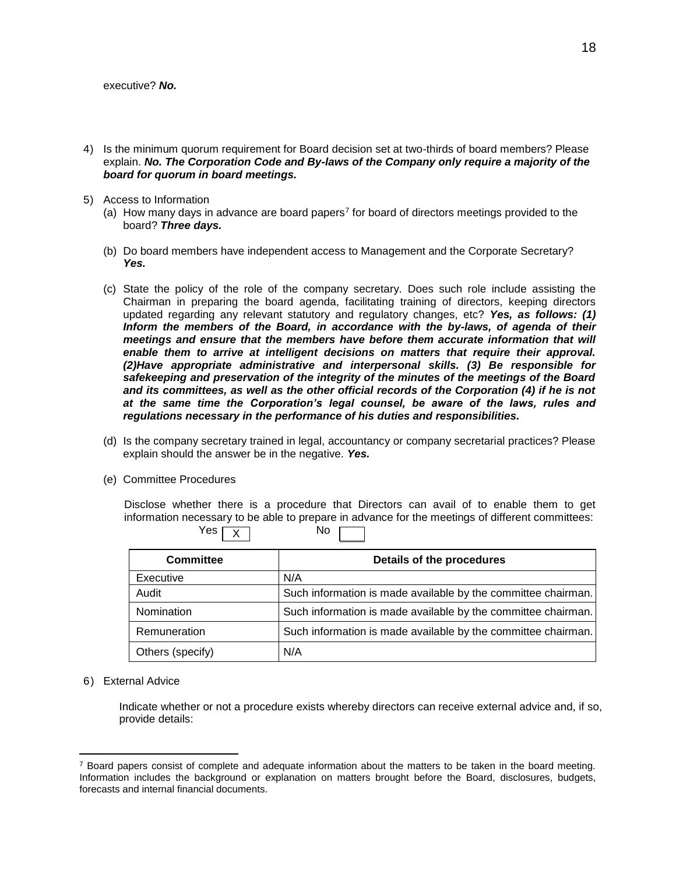- 4) Is the minimum quorum requirement for Board decision set at two-thirds of board members? Please explain. *No. The Corporation Code and By-laws of the Company only require a majority of the board for quorum in board meetings.*
- 5) Access to Information
	- (a) How many days in advance are board papers<sup>7</sup> for board of directors meetings provided to the board? *Three days.*
	- (b) Do board members have independent access to Management and the Corporate Secretary? *Yes.*
	- (c) State the policy of the role of the company secretary. Does such role include assisting the Chairman in preparing the board agenda, facilitating training of directors, keeping directors updated regarding any relevant statutory and regulatory changes, etc? *Yes, as follows: (1) Inform the members of the Board, in accordance with the by-laws, of agenda of their meetings and ensure that the members have before them accurate information that will*  enable them to arrive at intelligent decisions on matters that require their approval. *(2)Have appropriate administrative and interpersonal skills. (3) Be responsible for safekeeping and preservation of the integrity of the minutes of the meetings of the Board and its committees, as well as the other official records of the Corporation (4) if he is not at the same time the Corporation's legal counsel, be aware of the laws, rules and regulations necessary in the performance of his duties and responsibilities.*
	- (d) Is the company secretary trained in legal, accountancy or company secretarial practices? Please explain should the answer be in the negative. *Yes.*
	- (e) Committee Procedures

Disclose whether there is a procedure that Directors can avail of to enable them to get information necessary to be able to prepare in advance for the meetings of different committees:  $Yes \overline{v}$  No X

| <b>Committee</b> | Details of the procedures                                     |
|------------------|---------------------------------------------------------------|
| Executive        | N/A                                                           |
| Audit            | Such information is made available by the committee chairman. |
| Nomination       | Such information is made available by the committee chairman. |
| Remuneration     | Such information is made available by the committee chairman. |
| Others (specify) | N/A                                                           |

6) External Advice

 $\overline{a}$ 

Indicate whether or not a procedure exists whereby directors can receive external advice and, if so, provide details:

 $<sup>7</sup>$  Board papers consist of complete and adequate information about the matters to be taken in the board meeting.</sup> Information includes the background or explanation on matters brought before the Board, disclosures, budgets, forecasts and internal financial documents.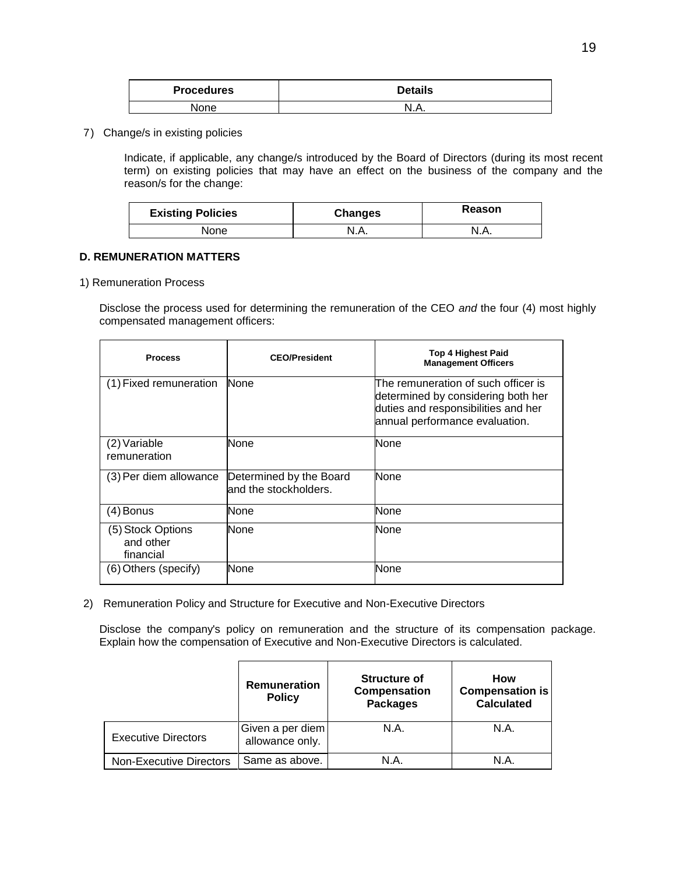| <b>Procedures</b> | <b>Details</b> |
|-------------------|----------------|
| None              |                |

7) Change/s in existing policies

Indicate, if applicable, any change/s introduced by the Board of Directors (during its most recent term) on existing policies that may have an effect on the business of the company and the reason/s for the change:

| <b>Existing Policies</b> | <b>Changes</b> | Reason |
|--------------------------|----------------|--------|
| None                     | N.A.           | N.A.   |

#### **D. REMUNERATION MATTERS**

1) Remuneration Process

Disclose the process used for determining the remuneration of the CEO *and* the four (4) most highly compensated management officers:

| <b>Process</b>                              | <b>CEO/President</b>                             | <b>Top 4 Highest Paid</b><br><b>Management Officers</b>                                                                                            |
|---------------------------------------------|--------------------------------------------------|----------------------------------------------------------------------------------------------------------------------------------------------------|
| (1) Fixed remuneration                      | <b>None</b>                                      | The remuneration of such officer is<br>determined by considering both her<br>duties and responsibilities and her<br>annual performance evaluation. |
| (2) Variable<br>remuneration                | None                                             | None                                                                                                                                               |
| (3) Per diem allowance                      | Determined by the Board<br>and the stockholders. | <b>None</b>                                                                                                                                        |
| $(4)$ Bonus                                 | None                                             | None                                                                                                                                               |
| (5) Stock Options<br>and other<br>financial | None                                             | None                                                                                                                                               |
| (6) Others (specify)                        | None                                             | None                                                                                                                                               |

2) Remuneration Policy and Structure for Executive and Non-Executive Directors

Disclose the company's policy on remuneration and the structure of its compensation package. Explain how the compensation of Executive and Non-Executive Directors is calculated.

|                                | Remuneration<br><b>Policy</b>       | <b>Structure of</b><br>Compensation<br><b>Packages</b> | How<br><b>Compensation is</b><br><b>Calculated</b> |
|--------------------------------|-------------------------------------|--------------------------------------------------------|----------------------------------------------------|
| <b>Executive Directors</b>     | Given a per diem<br>allowance only. | N.A.                                                   | N.A.                                               |
| <b>Non-Executive Directors</b> | Same as above.                      | N.A.                                                   | N.A.                                               |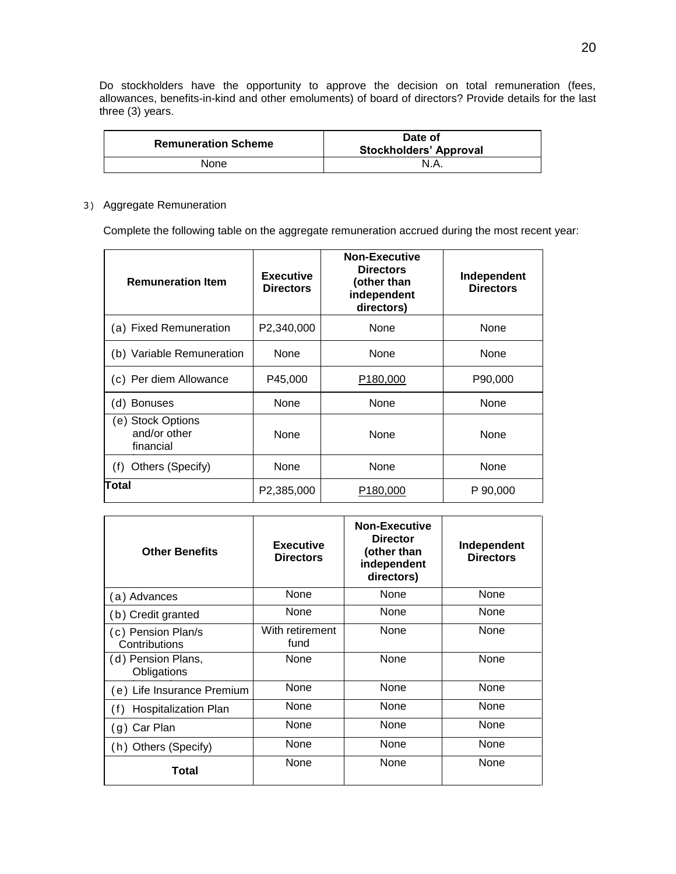Do stockholders have the opportunity to approve the decision on total remuneration (fees, allowances, benefits-in-kind and other emoluments) of board of directors? Provide details for the last three (3) years.

| <b>Remuneration Scheme</b> | Date of<br><b>Stockholders' Approval</b> |
|----------------------------|------------------------------------------|
| None                       | N.A.                                     |

### 3) Aggregate Remuneration

Complete the following table on the aggregate remuneration accrued during the most recent year:

| <b>Remuneration Item</b>                       | <b>Executive</b><br><b>Directors</b> | <b>Non-Executive</b><br><b>Directors</b><br>(other than<br>independent<br>directors) | Independent<br><b>Directors</b> |
|------------------------------------------------|--------------------------------------|--------------------------------------------------------------------------------------|---------------------------------|
| (a) Fixed Remuneration                         | P2,340,000                           | None                                                                                 | None                            |
| (b) Variable Remuneration                      | None                                 | None                                                                                 | None                            |
| (c) Per diem Allowance                         | P45,000                              | P <sub>180,000</sub>                                                                 | P90,000                         |
| (d) Bonuses                                    | None                                 | None                                                                                 | None                            |
| (e) Stock Options<br>and/or other<br>financial | None                                 | None                                                                                 | None                            |
| Others (Specify)<br>(f)                        | None                                 | None                                                                                 | None                            |
| Total                                          | P2,385,000                           | P <sub>180,000</sub>                                                                 | P 90,000                        |

| <b>Other Benefits</b>               | <b>Executive</b><br><b>Directors</b> | <b>Non-Executive</b><br><b>Director</b><br>(other than<br>independent<br>directors) | Independent<br><b>Directors</b> |
|-------------------------------------|--------------------------------------|-------------------------------------------------------------------------------------|---------------------------------|
| (a) Advances                        | None                                 | None                                                                                | None                            |
| (b) Credit granted                  | None                                 | None                                                                                | None                            |
| (c) Pension Plan/s<br>Contributions | With retirement<br>fund              | None                                                                                | None                            |
| (d) Pension Plans,<br>Obligations   | None                                 | None                                                                                | None                            |
| (e) Life Insurance Premium          | None                                 | None                                                                                | None                            |
| (f)<br><b>Hospitalization Plan</b>  | None                                 | None                                                                                | None                            |
| g) Car Plan                         | None                                 | None                                                                                | None                            |
| (h) Others (Specify)                | None                                 | None                                                                                | None                            |
| Total                               | None                                 | None                                                                                | None                            |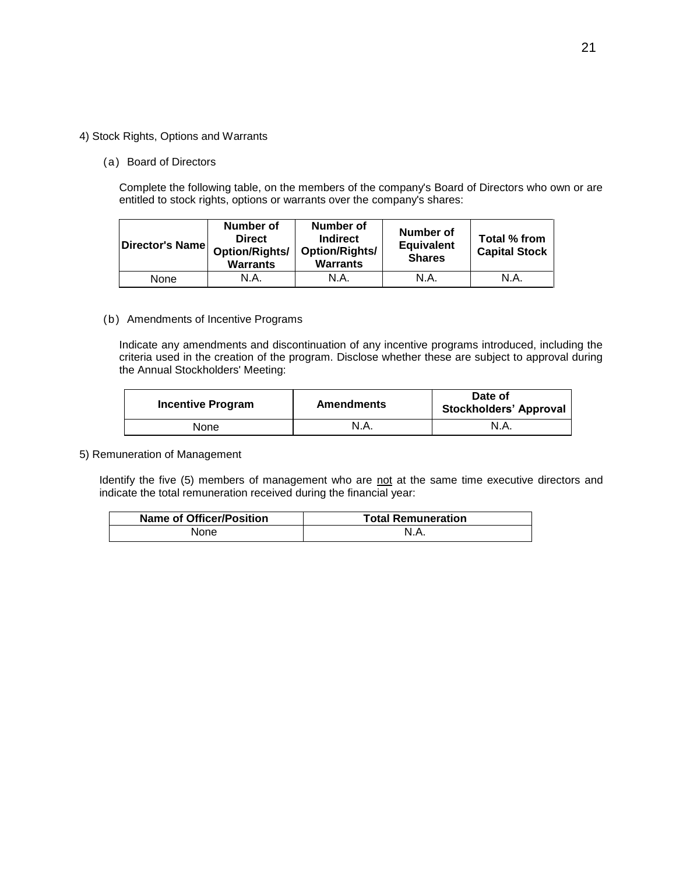#### 4) Stock Rights, Options and Warrants

#### (a) Board of Directors

Complete the following table, on the members of the company's Board of Directors who own or are entitled to stock rights, options or warrants over the company's shares:

| Director's Name | Number of<br><b>Direct</b><br><b>Option/Rights/</b><br><b>Warrants</b> | Number of<br>Indirect<br>Option/Rights/<br><b>Warrants</b> | <b>Number of</b><br><b>Equivalent</b><br><b>Shares</b> | Total % from<br><b>Capital Stock</b> |
|-----------------|------------------------------------------------------------------------|------------------------------------------------------------|--------------------------------------------------------|--------------------------------------|
| None            | N.A.                                                                   | N.A.                                                       | N.A.                                                   | N.A.                                 |

#### (b) Amendments of Incentive Programs

Indicate any amendments and discontinuation of any incentive programs introduced, including the criteria used in the creation of the program. Disclose whether these are subject to approval during the Annual Stockholders' Meeting:

| <b>Incentive Program</b> | <b>Amendments</b> | Date of<br><b>Stockholders' Approval</b> |  |
|--------------------------|-------------------|------------------------------------------|--|
| None                     | N.A.              | N.A.                                     |  |

### 5) Remuneration of Management

Identify the five (5) members of management who are not at the same time executive directors and indicate the total remuneration received during the financial year:

| <b>Name of Officer/Position</b> | <b>Total Remuneration</b> |
|---------------------------------|---------------------------|
| None                            | N.A.                      |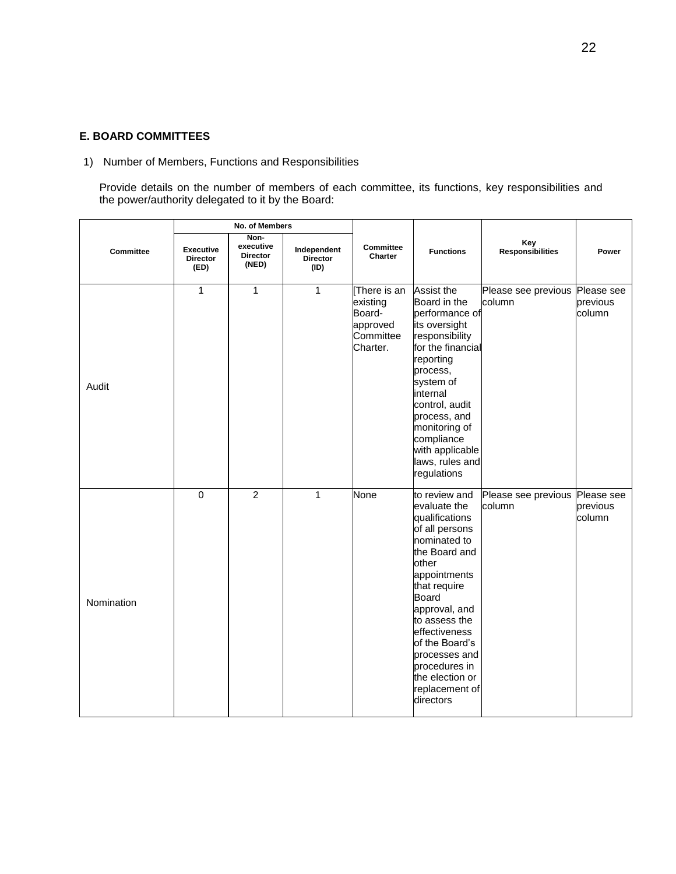### **E. BOARD COMMITTEES**

1) Number of Members, Functions and Responsibilities

Provide details on the number of members of each committee, its functions, key responsibilities and the power/authority delegated to it by the Board:

|            | No. of Members                              |                                               |                                        |                                                                        |                                                                                                                                                                                                                                                                                                               |                                |                                  |
|------------|---------------------------------------------|-----------------------------------------------|----------------------------------------|------------------------------------------------------------------------|---------------------------------------------------------------------------------------------------------------------------------------------------------------------------------------------------------------------------------------------------------------------------------------------------------------|--------------------------------|----------------------------------|
| Committee  | <b>Executive</b><br><b>Director</b><br>(ED) | Non-<br>executive<br><b>Director</b><br>(NED) | Independent<br><b>Director</b><br>(ID) | Committee<br>Charter                                                   | <b>Functions</b>                                                                                                                                                                                                                                                                                              | Key<br><b>Responsibilities</b> | Power                            |
| Audit      | 1                                           | 1                                             | $\mathbf{1}$                           | There is an<br>existing<br>Board-<br>approved<br>Committee<br>Charter. | Assist the<br>Board in the<br>performance of<br>its oversight<br>responsibility<br>for the financial<br>reporting<br>process,<br>system of<br>internal<br>control, audit<br>process, and<br>monitoring of<br>compliance<br>with applicable<br>laws, rules and<br>regulations                                  | Please see previous<br>column  | Please see<br>previous<br>column |
| Nomination | $\mathbf 0$                                 | $\overline{2}$                                | $\mathbf{1}$                           | None                                                                   | to review and<br>evaluate the<br>qualifications<br>of all persons<br>nominated to<br>the Board and<br>other<br>appointments<br>that require<br>Board<br>approval, and<br>to assess the<br>effectiveness<br>of the Board's<br>processes and<br>procedures in<br>the election or<br>replacement of<br>directors | Please see previous<br>column  | Please see<br>previous<br>column |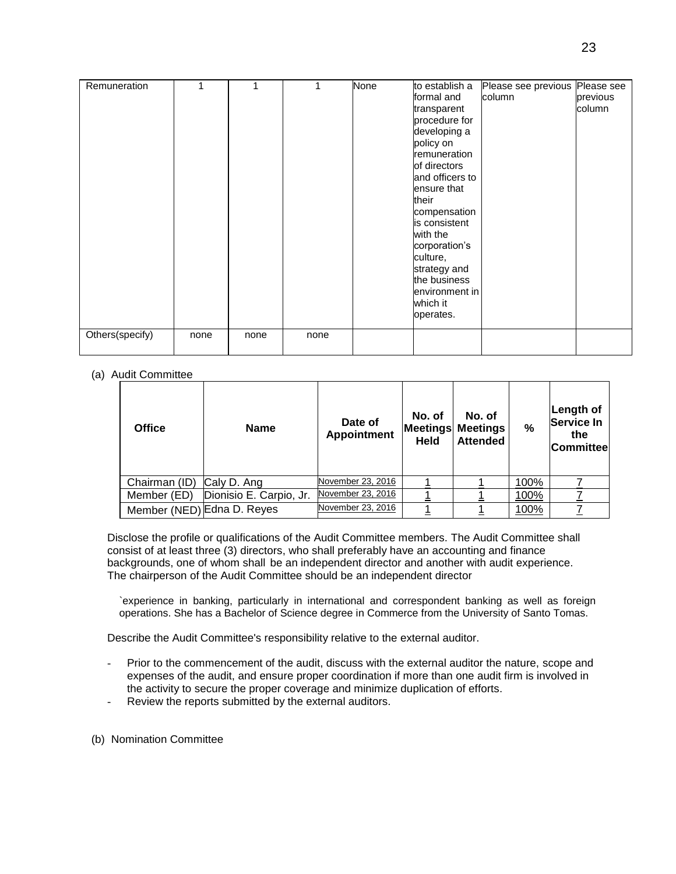| Remuneration    | 1    | 1    |      | <b>None</b> | to establish a  | Please see previous | Please see |
|-----------------|------|------|------|-------------|-----------------|---------------------|------------|
|                 |      |      |      |             | formal and      | column              | previous   |
|                 |      |      |      |             | transparent     |                     | column     |
|                 |      |      |      |             | procedure for   |                     |            |
|                 |      |      |      |             | developing a    |                     |            |
|                 |      |      |      |             | policy on       |                     |            |
|                 |      |      |      |             | remuneration    |                     |            |
|                 |      |      |      |             | of directors    |                     |            |
|                 |      |      |      |             | and officers to |                     |            |
|                 |      |      |      |             | ensure that     |                     |            |
|                 |      |      |      |             | their           |                     |            |
|                 |      |      |      |             | compensation    |                     |            |
|                 |      |      |      |             | is consistent   |                     |            |
|                 |      |      |      |             | with the        |                     |            |
|                 |      |      |      |             | corporation's   |                     |            |
|                 |      |      |      |             | culture,        |                     |            |
|                 |      |      |      |             | strategy and    |                     |            |
|                 |      |      |      |             | the business    |                     |            |
|                 |      |      |      |             | environment in  |                     |            |
|                 |      |      |      |             | which it        |                     |            |
|                 |      |      |      |             | operates.       |                     |            |
| Others(specify) | none | none | none |             |                 |                     |            |
|                 |      |      |      |             |                 |                     |            |

#### (a) Audit Committee

| <b>Office</b>              | <b>Name</b>             | Date of<br><b>Appointment</b> | No. of<br><b>Held</b> | No. of<br><b>Meetings Meetings</b><br><b>Attended</b> | %    | Length of<br><b>Service In</b><br>the<br><b>Committee</b> |
|----------------------------|-------------------------|-------------------------------|-----------------------|-------------------------------------------------------|------|-----------------------------------------------------------|
| Chairman (ID)              | Caly D. Ang             | November 23, 2016             |                       |                                                       | 100% |                                                           |
| Member (ED)                | Dionisio E. Carpio, Jr. | November 23, 2016             |                       |                                                       | 100% |                                                           |
| Member (NED) Edna D. Reyes |                         | November 23, 2016             |                       |                                                       | 100% |                                                           |

Disclose the profile or qualifications of the Audit Committee members. The Audit Committee shall consist of at least three (3) directors, who shall preferably have an accounting and finance backgrounds, one of whom shall be an independent director and another with audit experience. The chairperson of the Audit Committee should be an independent director

`experience in banking, particularly in international and correspondent banking as well as foreign operations. She has a Bachelor of Science degree in Commerce from the University of Santo Tomas.

Describe the Audit Committee's responsibility relative to the external auditor.

- Prior to the commencement of the audit, discuss with the external auditor the nature, scope and expenses of the audit, and ensure proper coordination if more than one audit firm is involved in the activity to secure the proper coverage and minimize duplication of efforts.
- Review the reports submitted by the external auditors.
- (b) Nomination Committee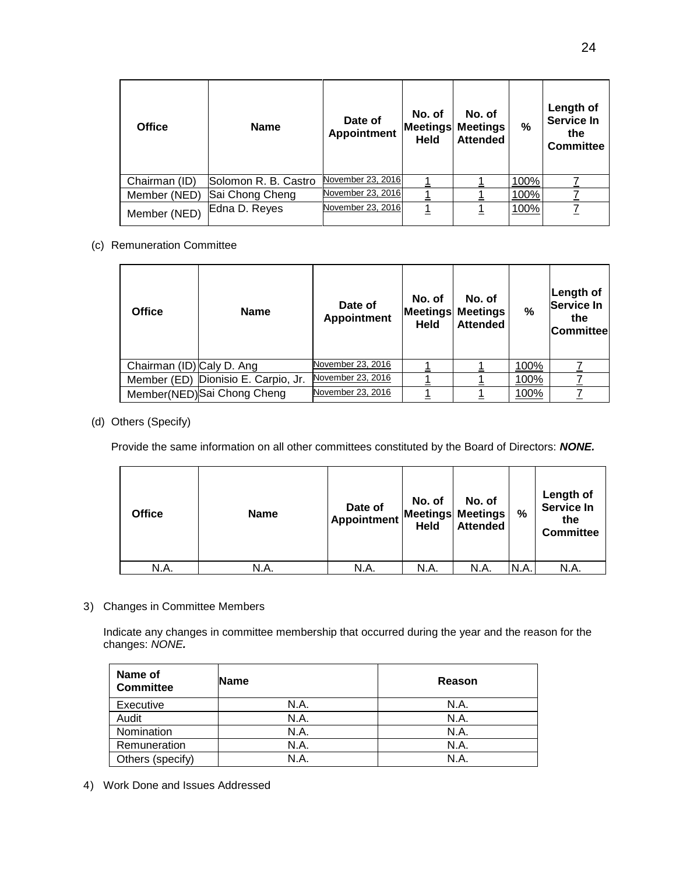| <b>Office</b> | <b>Name</b>          | Date of<br><b>Appointment</b> | No. of<br><b>Held</b> | No. of<br><b>Meetings Meetings</b><br><b>Attended</b> | %    | Length of<br><b>Service In</b><br>the<br>Committee |
|---------------|----------------------|-------------------------------|-----------------------|-------------------------------------------------------|------|----------------------------------------------------|
| Chairman (ID) | Solomon R. B. Castro | November 23, 2016             |                       |                                                       | 100% |                                                    |
| Member (NED)  | Sai Chong Cheng      | November 23, 2016             |                       |                                                       | 100% |                                                    |
| Member (NED)  | Edna D. Reyes        | November 23, 2016             |                       |                                                       | 100% |                                                    |

### (c) Remuneration Committee

| <b>Office</b>             | <b>Name</b>                         | Date of<br><b>Appointment</b> | No. of<br><b>Held</b> | No. of<br><b>Meetings Meetings</b><br><b>Attended</b> | $\frac{9}{6}$ | Length of<br>Service In<br>the<br><b>Committee</b> |
|---------------------------|-------------------------------------|-------------------------------|-----------------------|-------------------------------------------------------|---------------|----------------------------------------------------|
| Chairman (ID) Caly D. Ang |                                     | November 23, 2016             |                       |                                                       | 100%          |                                                    |
|                           | Member (ED) Dionisio E. Carpio, Jr. | November 23, 2016             |                       |                                                       | 100%          |                                                    |
|                           | Member(NED) Sai Chong Cheng         | November 23, 2016             |                       |                                                       | 100%          |                                                    |

### (d) Others (Specify)

Provide the same information on all other committees constituted by the Board of Directors: *NONE.*

| <b>Office</b> | <b>Name</b> | Date of<br>Appointment | No. of<br><b>Held</b> | No. of<br><b>Meetings Meetings</b><br><b>Attended</b> | %    | Length of<br><b>Service In</b><br>the<br><b>Committee</b> |
|---------------|-------------|------------------------|-----------------------|-------------------------------------------------------|------|-----------------------------------------------------------|
| N.A.          | N.A.        | N.A.                   | N.A.                  | N.A.                                                  | N.A. | N.A.                                                      |

3) Changes in Committee Members

Indicate any changes in committee membership that occurred during the year and the reason for the changes: *NONE.*

| Name of<br><b>Committee</b> | <b>Name</b> | Reason |
|-----------------------------|-------------|--------|
| Executive                   | N.A.        | N.A.   |
| Audit                       | N.A.        | N.A.   |
| Nomination                  | N.A.        | N.A.   |
| Remuneration                | N.A.        | N.A.   |
| Others (specify)            | N.A         | N.A    |

4) Work Done and Issues Addressed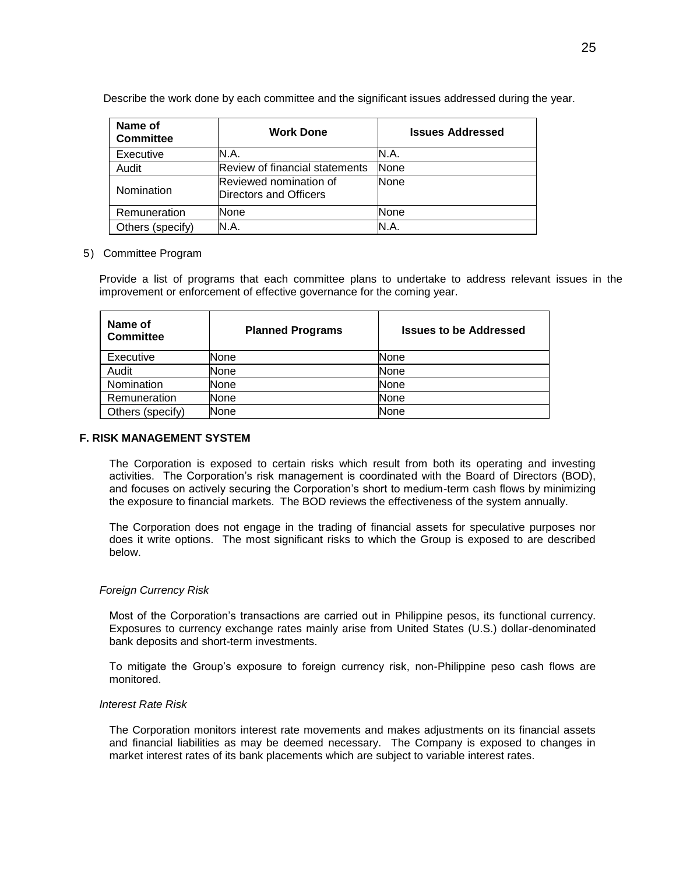Describe the work done by each committee and the significant issues addressed during the year.

| Name of<br><b>Committee</b> | <b>Work Done</b>                                 | <b>Issues Addressed</b> |
|-----------------------------|--------------------------------------------------|-------------------------|
| Executive                   | N.A.                                             | N.A.                    |
| Audit                       | Review of financial statements                   | <b>None</b>             |
| Nomination                  | Reviewed nomination of<br>Directors and Officers | <b>None</b>             |
| Remuneration                | None                                             | None                    |
| Others (specify)            | N.A.                                             | N.A                     |

### 5) Committee Program

Provide a list of programs that each committee plans to undertake to address relevant issues in the improvement or enforcement of effective governance for the coming year.

| Name of<br>Committee | <b>Planned Programs</b> | <b>Issues to be Addressed</b> |
|----------------------|-------------------------|-------------------------------|
| Executive            | None                    | None                          |
| Audit                | None                    | None                          |
| Nomination           | None                    | None                          |
| Remuneration         | None                    | None                          |
| Others (specify)     | None                    | None                          |

### **F. RISK MANAGEMENT SYSTEM**

The Corporation is exposed to certain risks which result from both its operating and investing activities. The Corporation's risk management is coordinated with the Board of Directors (BOD), and focuses on actively securing the Corporation's short to medium-term cash flows by minimizing the exposure to financial markets. The BOD reviews the effectiveness of the system annually.

The Corporation does not engage in the trading of financial assets for speculative purposes nor does it write options. The most significant risks to which the Group is exposed to are described below.

#### *Foreign Currency Risk*

Most of the Corporation's transactions are carried out in Philippine pesos, its functional currency. Exposures to currency exchange rates mainly arise from United States (U.S.) dollar-denominated bank deposits and short-term investments.

To mitigate the Group's exposure to foreign currency risk, non-Philippine peso cash flows are monitored.

#### *Interest Rate Risk*

The Corporation monitors interest rate movements and makes adjustments on its financial assets and financial liabilities as may be deemed necessary. The Company is exposed to changes in market interest rates of its bank placements which are subject to variable interest rates.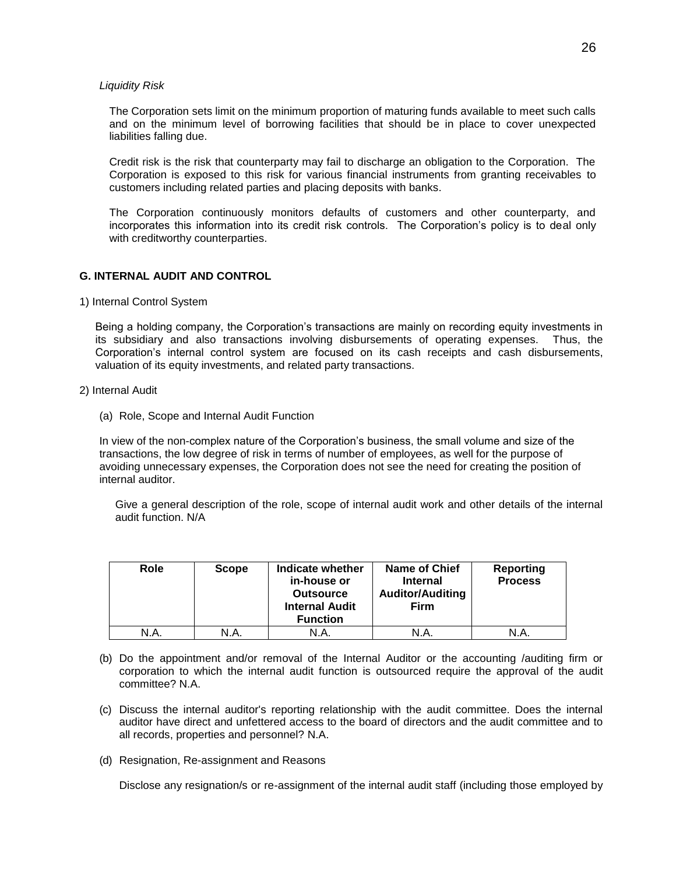#### *Liquidity Risk*

The Corporation sets limit on the minimum proportion of maturing funds available to meet such calls and on the minimum level of borrowing facilities that should be in place to cover unexpected liabilities falling due.

Credit risk is the risk that counterparty may fail to discharge an obligation to the Corporation. The Corporation is exposed to this risk for various financial instruments from granting receivables to customers including related parties and placing deposits with banks.

The Corporation continuously monitors defaults of customers and other counterparty, and incorporates this information into its credit risk controls. The Corporation's policy is to deal only with creditworthy counterparties.

### **G. INTERNAL AUDIT AND CONTROL**

#### 1) Internal Control System

Being a holding company, the Corporation's transactions are mainly on recording equity investments in its subsidiary and also transactions involving disbursements of operating expenses. Thus, the Corporation's internal control system are focused on its cash receipts and cash disbursements, valuation of its equity investments, and related party transactions.

- 2) Internal Audit
	- (a) Role, Scope and Internal Audit Function

In view of the non-complex nature of the Corporation's business, the small volume and size of the transactions, the low degree of risk in terms of number of employees, as well for the purpose of avoiding unnecessary expenses, the Corporation does not see the need for creating the position of internal auditor.

Give a general description of the role, scope of internal audit work and other details of the internal audit function. N/A

| Role | <b>Scope</b> | Indicate whether<br>in-house or<br><b>Outsource</b><br><b>Internal Audit</b><br><b>Function</b> | <b>Name of Chief</b><br><b>Internal</b><br><b>Auditor/Auditing</b><br><b>Firm</b> | Reporting<br><b>Process</b> |
|------|--------------|-------------------------------------------------------------------------------------------------|-----------------------------------------------------------------------------------|-----------------------------|
| N.A  | N.A.         | N.A.                                                                                            | N.A                                                                               | N.A.                        |

- (b) Do the appointment and/or removal of the Internal Auditor or the accounting /auditing firm or corporation to which the internal audit function is outsourced require the approval of the audit committee? N.A.
- (c) Discuss the internal auditor's reporting relationship with the audit committee. Does the internal auditor have direct and unfettered access to the board of directors and the audit committee and to all records, properties and personnel? N.A.
- (d) Resignation, Re-assignment and Reasons

Disclose any resignation/s or re-assignment of the internal audit staff (including those employed by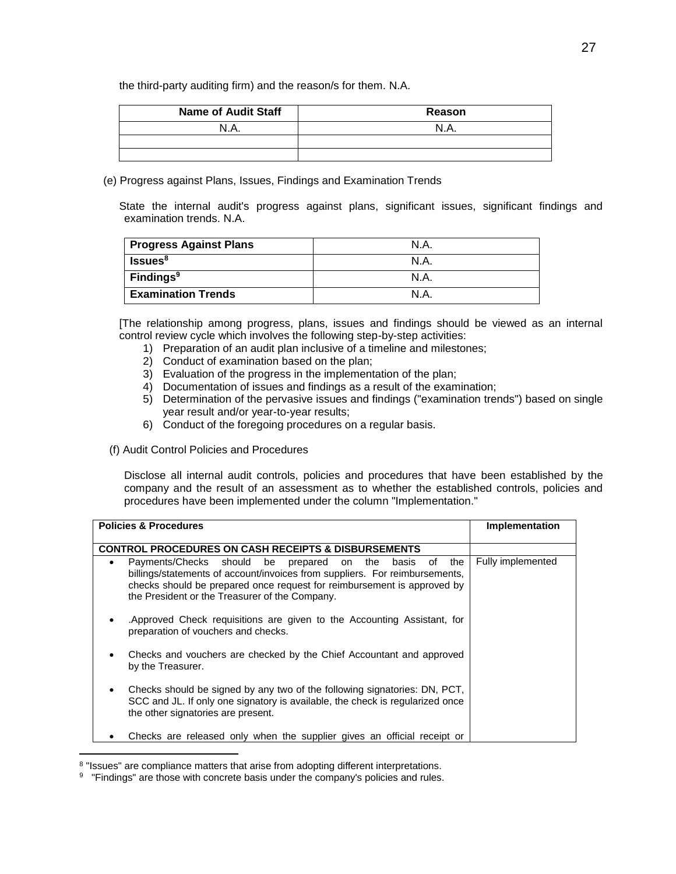the third-party auditing firm) and the reason/s for them. N.A.

| <b>Name of Audit Staff</b> | Reason |
|----------------------------|--------|
| N.A.                       | N.A    |
|                            |        |
|                            |        |

(e) Progress against Plans, Issues, Findings and Examination Trends

State the internal audit's progress against plans, significant issues, significant findings and examination trends. N.A.

| <b>Progress Against Plans</b> | N.A. |
|-------------------------------|------|
| <b>Issues</b> <sup>8</sup>    | N.A. |
| <b>Findings</b> <sup>9</sup>  | N.A. |
| <b>Examination Trends</b>     | N.A  |

[The relationship among progress, plans, issues and findings should be viewed as an internal control review cycle which involves the following step-by-step activities:

- 1) Preparation of an audit plan inclusive of a timeline and milestones;
- 2) Conduct of examination based on the plan;
- 3) Evaluation of the progress in the implementation of the plan;
- 4) Documentation of issues and findings as a result of the examination;
- 5) Determination of the pervasive issues and findings ("examination trends") based on single year result and/or year-to-year results;
- 6) Conduct of the foregoing procedures on a regular basis.
- (f) Audit Control Policies and Procedures

Disclose all internal audit controls, policies and procedures that have been established by the company and the result of an assessment as to whether the established controls, policies and procedures have been implemented under the column "Implementation."

| <b>Policies &amp; Procedures</b>                                                                                                                                                                                                                                              | Implementation    |
|-------------------------------------------------------------------------------------------------------------------------------------------------------------------------------------------------------------------------------------------------------------------------------|-------------------|
| <b>CONTROL PROCEDURES ON CASH RECEIPTS &amp; DISBURSEMENTS</b>                                                                                                                                                                                                                |                   |
| Payments/Checks should be prepared on the basis<br>the<br>of<br>٠<br>billings/statements of account/invoices from suppliers. For reimbursements,<br>checks should be prepared once request for reimbursement is approved by<br>the President or the Treasurer of the Company. | Fully implemented |
| .Approved Check requisitions are given to the Accounting Assistant, for<br>preparation of vouchers and checks.                                                                                                                                                                |                   |
| Checks and vouchers are checked by the Chief Accountant and approved<br>by the Treasurer.                                                                                                                                                                                     |                   |
| Checks should be signed by any two of the following signatories: DN, PCT,<br>SCC and JL. If only one signatory is available, the check is regularized once<br>the other signatories are present.                                                                              |                   |
| Checks are released only when the supplier gives an official receipt or                                                                                                                                                                                                       |                   |

<sup>&</sup>lt;sup>8</sup> "Issues" are compliance matters that arise from adopting different interpretations.

 $\overline{a}$ 

<sup>&</sup>lt;sup>9</sup> "Findings" are those with concrete basis under the company's policies and rules.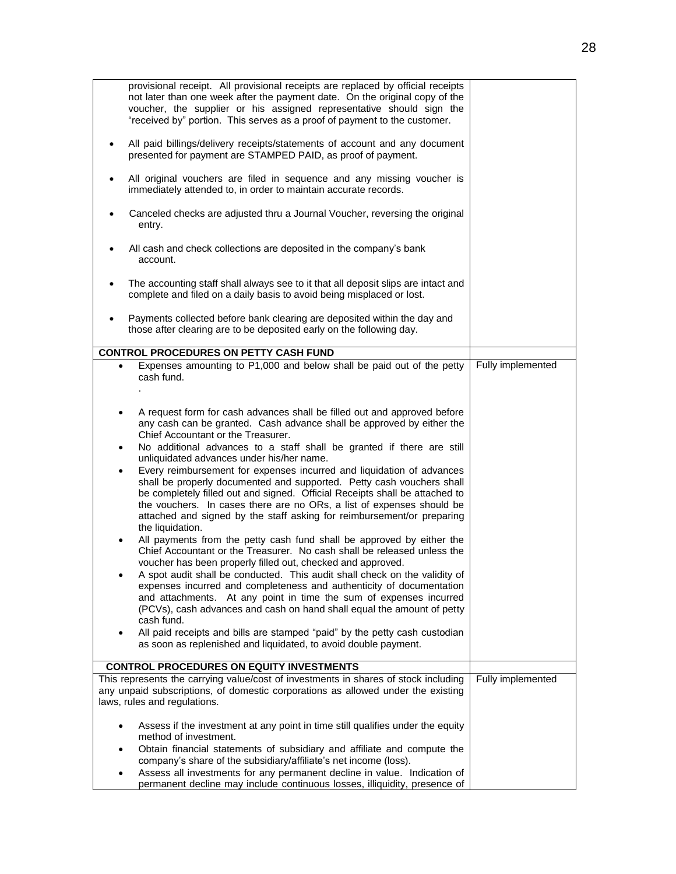| Payments collected before bank clearing are deposited within the day and<br>those after clearing are to be deposited early on the following day.<br><b>CONTROL PROCEDURES ON PETTY CASH FUND</b><br>Expenses amounting to P1,000 and below shall be paid out of the petty<br>Fully implemented<br>$\bullet$<br>cash fund.<br>A request form for cash advances shall be filled out and approved before<br>$\bullet$<br>any cash can be granted. Cash advance shall be approved by either the<br>Chief Accountant or the Treasurer.<br>No additional advances to a staff shall be granted if there are still<br>unliquidated advances under his/her name.<br>Every reimbursement for expenses incurred and liquidation of advances<br>$\bullet$<br>shall be properly documented and supported. Petty cash vouchers shall<br>be completely filled out and signed. Official Receipts shall be attached to<br>the vouchers. In cases there are no ORs, a list of expenses should be<br>attached and signed by the staff asking for reimbursement/or preparing<br>the liquidation.<br>All payments from the petty cash fund shall be approved by either the<br>Chief Accountant or the Treasurer. No cash shall be released unless the |
|----------------------------------------------------------------------------------------------------------------------------------------------------------------------------------------------------------------------------------------------------------------------------------------------------------------------------------------------------------------------------------------------------------------------------------------------------------------------------------------------------------------------------------------------------------------------------------------------------------------------------------------------------------------------------------------------------------------------------------------------------------------------------------------------------------------------------------------------------------------------------------------------------------------------------------------------------------------------------------------------------------------------------------------------------------------------------------------------------------------------------------------------------------------------------------------------------------------------------------|
|                                                                                                                                                                                                                                                                                                                                                                                                                                                                                                                                                                                                                                                                                                                                                                                                                                                                                                                                                                                                                                                                                                                                                                                                                                  |
|                                                                                                                                                                                                                                                                                                                                                                                                                                                                                                                                                                                                                                                                                                                                                                                                                                                                                                                                                                                                                                                                                                                                                                                                                                  |
|                                                                                                                                                                                                                                                                                                                                                                                                                                                                                                                                                                                                                                                                                                                                                                                                                                                                                                                                                                                                                                                                                                                                                                                                                                  |
| voucher has been properly filled out, checked and approved.<br>A spot audit shall be conducted. This audit shall check on the validity of<br>expenses incurred and completeness and authenticity of documentation<br>and attachments. At any point in time the sum of expenses incurred<br>(PCVs), cash advances and cash on hand shall equal the amount of petty<br>cash fund.<br>All paid receipts and bills are stamped "paid" by the petty cash custodian<br>$\bullet$<br>as soon as replenished and liquidated, to avoid double payment.                                                                                                                                                                                                                                                                                                                                                                                                                                                                                                                                                                                                                                                                                    |
| <b>CONTROL PROCEDURES ON EQUITY INVESTMENTS</b>                                                                                                                                                                                                                                                                                                                                                                                                                                                                                                                                                                                                                                                                                                                                                                                                                                                                                                                                                                                                                                                                                                                                                                                  |
| This represents the carrying value/cost of investments in shares of stock including<br>Fully implemented<br>any unpaid subscriptions, of domestic corporations as allowed under the existing<br>laws, rules and regulations.                                                                                                                                                                                                                                                                                                                                                                                                                                                                                                                                                                                                                                                                                                                                                                                                                                                                                                                                                                                                     |
| Assess if the investment at any point in time still qualifies under the equity<br>method of investment.                                                                                                                                                                                                                                                                                                                                                                                                                                                                                                                                                                                                                                                                                                                                                                                                                                                                                                                                                                                                                                                                                                                          |
| Obtain financial statements of subsidiary and affiliate and compute the<br>$\bullet$<br>company's share of the subsidiary/affiliate's net income (loss).<br>Assess all investments for any permanent decline in value. Indication of<br>permanent decline may include continuous losses, illiquidity, presence of                                                                                                                                                                                                                                                                                                                                                                                                                                                                                                                                                                                                                                                                                                                                                                                                                                                                                                                |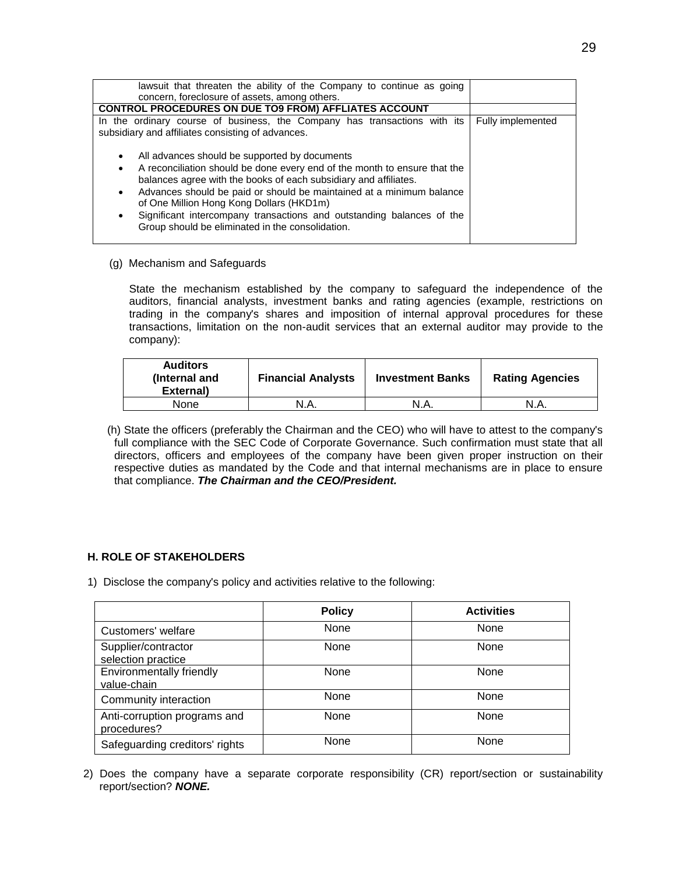| lawsuit that threaten the ability of the Company to continue as going<br>concern, foreclosure of assets, among others.                                                                                                                                                                                                                                                                                                                                                                                                                                                                                                        |                   |
|-------------------------------------------------------------------------------------------------------------------------------------------------------------------------------------------------------------------------------------------------------------------------------------------------------------------------------------------------------------------------------------------------------------------------------------------------------------------------------------------------------------------------------------------------------------------------------------------------------------------------------|-------------------|
| <b>CONTROL PROCEDURES ON DUE TO9 FROM) AFFLIATES ACCOUNT</b>                                                                                                                                                                                                                                                                                                                                                                                                                                                                                                                                                                  |                   |
| In the ordinary course of business, the Company has transactions with its<br>subsidiary and affiliates consisting of advances.<br>All advances should be supported by documents<br>٠<br>A reconciliation should be done every end of the month to ensure that the<br>$\bullet$<br>balances agree with the books of each subsidiary and affiliates.<br>Advances should be paid or should be maintained at a minimum balance<br>$\bullet$<br>of One Million Hong Kong Dollars (HKD1m)<br>Significant intercompany transactions and outstanding balances of the<br>$\bullet$<br>Group should be eliminated in the consolidation. | Fully implemented |

(g) Mechanism and Safeguards

State the mechanism established by the company to safeguard the independence of the auditors, financial analysts, investment banks and rating agencies (example, restrictions on trading in the company's shares and imposition of internal approval procedures for these transactions, limitation on the non-audit services that an external auditor may provide to the company):

| <b>Auditors</b><br>(Internal and<br>External) | <b>Financial Analysts</b> | <b>Investment Banks</b> | <b>Rating Agencies</b> |
|-----------------------------------------------|---------------------------|-------------------------|------------------------|
| None                                          | N.A.                      | N.A.                    | N.A.                   |

(h) State the officers (preferably the Chairman and the CEO) who will have to attest to the company's full compliance with the SEC Code of Corporate Governance. Such confirmation must state that all directors, officers and employees of the company have been given proper instruction on their respective duties as mandated by the Code and that internal mechanisms are in place to ensure that compliance. *The Chairman and the CEO/President.*

### **H. ROLE OF STAKEHOLDERS**

1) Disclose the company's policy and activities relative to the following:

|                                                | <b>Policy</b> | <b>Activities</b> |
|------------------------------------------------|---------------|-------------------|
| Customers' welfare                             | None          | None              |
| Supplier/contractor<br>selection practice      | None          | None              |
| <b>Environmentally friendly</b><br>value-chain | None          | None              |
| Community interaction                          | None          | None              |
| Anti-corruption programs and<br>procedures?    | None          | None              |
| Safeguarding creditors' rights                 | None          | None              |

2) Does the company have a separate corporate responsibility (CR) report/section or sustainability report/section? *NONE.*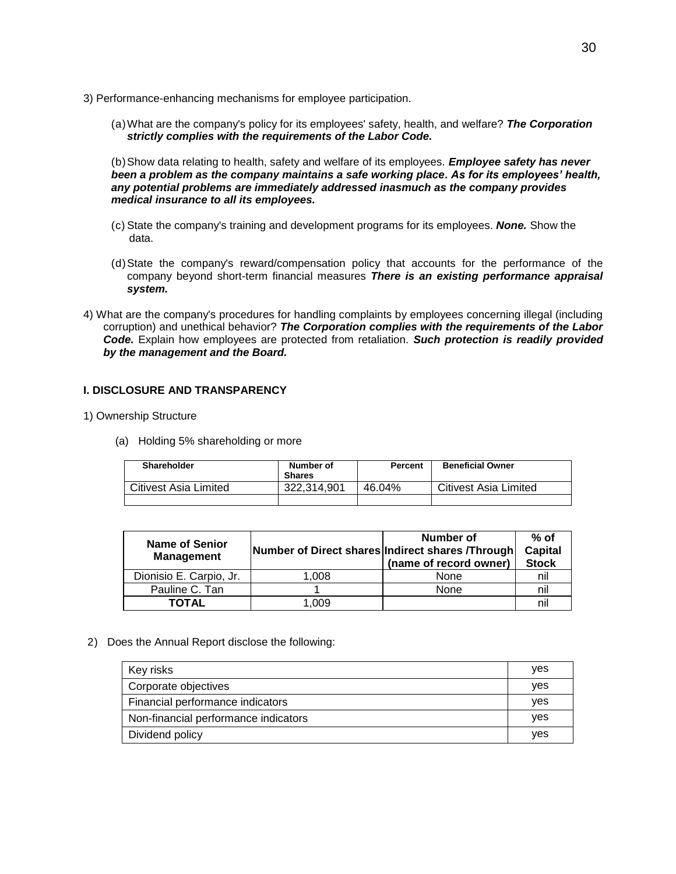- 3) Performance-enhancing mechanisms for employee participation.
	- (a)What are the company's policy for its employees' safety, health, and welfare? *The Corporation strictly complies with the requirements of the Labor Code.*

(b)Show data relating to health, safety and welfare of its employees. *Employee safety has never been a problem as the company maintains a safe working place. As for its employees' health, any potential problems are immediately addressed inasmuch as the company provides medical insurance to all its employees.*

- (c) State the company's training and development programs for its employees. *None.* Show the data.
- (d)State the company's reward/compensation policy that accounts for the performance of the company beyond short-term financial measures *There is an existing performance appraisal system.*
- 4) What are the company's procedures for handling complaints by employees concerning illegal (including corruption) and unethical behavior? *The Corporation complies with the requirements of the Labor Code.* Explain how employees are protected from retaliation. *Such protection is readily provided by the management and the Board.*

### **I. DISCLOSURE AND TRANSPARENCY**

- 1) Ownership Structure
	- (a) Holding 5% shareholding or more

| Shareholder           | Number of<br><b>Shares</b> | <b>Percent</b> | <b>Beneficial Owner</b>      |
|-----------------------|----------------------------|----------------|------------------------------|
| Citivest Asia Limited | 322.314.901                | 46.04%         | <b>Citivest Asia Limited</b> |
|                       |                            |                |                              |

| <b>Name of Senior</b><br><b>Management</b> |       | Number of<br>Number of Direct shares Indirect shares /Through<br>(name of record owner) | $%$ of<br><b>Capital</b><br><b>Stock</b> |
|--------------------------------------------|-------|-----------------------------------------------------------------------------------------|------------------------------------------|
| Dionisio E. Carpio, Jr.                    | 1.008 | None                                                                                    | nil                                      |
| Pauline C. Tan                             |       | None                                                                                    | nil                                      |
| TOTAL                                      | 1.009 |                                                                                         | nil                                      |

2) Does the Annual Report disclose the following:

| Key risks                            | <b>ves</b> |
|--------------------------------------|------------|
| Corporate objectives                 | yes        |
| Financial performance indicators     | yes        |
| Non-financial performance indicators | yes        |
| Dividend policy                      | ves        |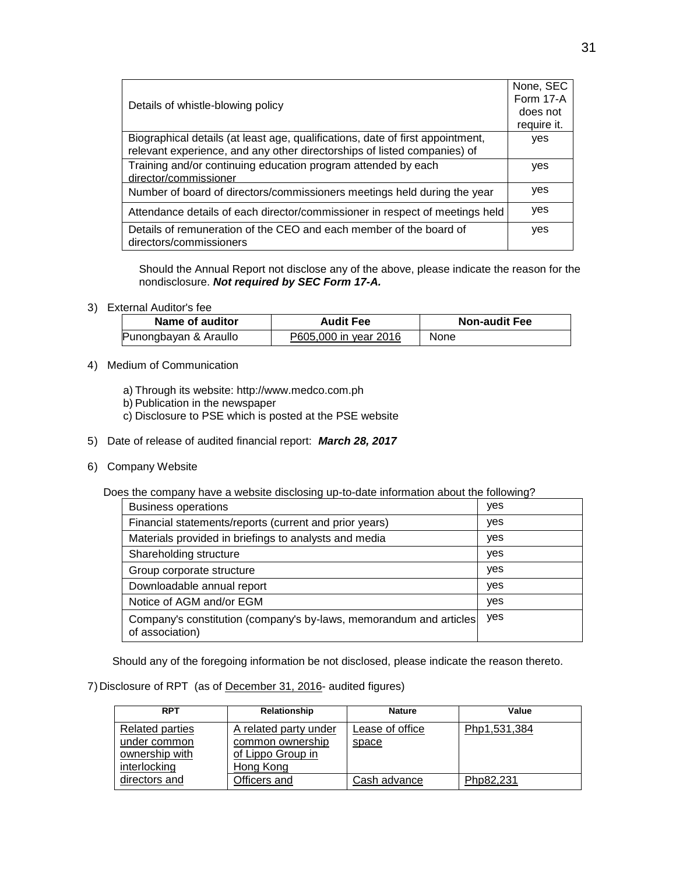|                                                                                | None, SEC   |
|--------------------------------------------------------------------------------|-------------|
| Details of whistle-blowing policy                                              |             |
|                                                                                | does not    |
|                                                                                | require it. |
| Biographical details (at least age, qualifications, date of first appointment, | yes         |
| relevant experience, and any other directorships of listed companies) of       |             |
| Training and/or continuing education program attended by each                  | yes         |
| director/commissioner                                                          |             |
| Number of board of directors/commissioners meetings held during the year       | ves         |
| Attendance details of each director/commissioner in respect of meetings held   | yes         |
| Details of remuneration of the CEO and each member of the board of             | yes         |
| directors/commissioners                                                        |             |

Should the Annual Report not disclose any of the above, please indicate the reason for the nondisclosure. *Not required by SEC Form 17-A.*

3) External Auditor's fee

| Name of auditor       | <b>Audit Fee</b>      | <b>Non-audit Fee</b> |
|-----------------------|-----------------------|----------------------|
| Punongbayan & Araullo | P605,000 in year 2016 | None                 |

- 4) Medium of Communication
	- a) Through its website: http://www.medco.com.ph
	- b) Publication in the newspaper
	- c) Disclosure to PSE which is posted at the PSE website
- 5) Date of release of audited financial report: *March 28, 2017*
- 6) Company Website

Does the company have a website disclosing up-to-date information about the following?

| <b>Business operations</b>                                                            | yes |
|---------------------------------------------------------------------------------------|-----|
| Financial statements/reports (current and prior years)                                | yes |
| Materials provided in briefings to analysts and media                                 | yes |
| Shareholding structure                                                                | yes |
| Group corporate structure                                                             | yes |
| Downloadable annual report                                                            | yes |
| Notice of AGM and/or EGM                                                              | yes |
| Company's constitution (company's by-laws, memorandum and articles<br>of association) | yes |

Should any of the foregoing information be not disclosed, please indicate the reason thereto.

### 7)Disclosure of RPT (as of December 31, 2016- audited figures)

| <b>RPT</b>                             | Relationship                              | <b>Nature</b>            | Value        |
|----------------------------------------|-------------------------------------------|--------------------------|--------------|
| <b>Related parties</b><br>under common | A related party under<br>common ownership | Lease of office<br>space | Php1,531,384 |
| ownership with<br>interlocking         | of Lippo Group in<br>Hong Kong            |                          |              |
| directors and                          | Officers and                              | Cash advance             | Php82,231    |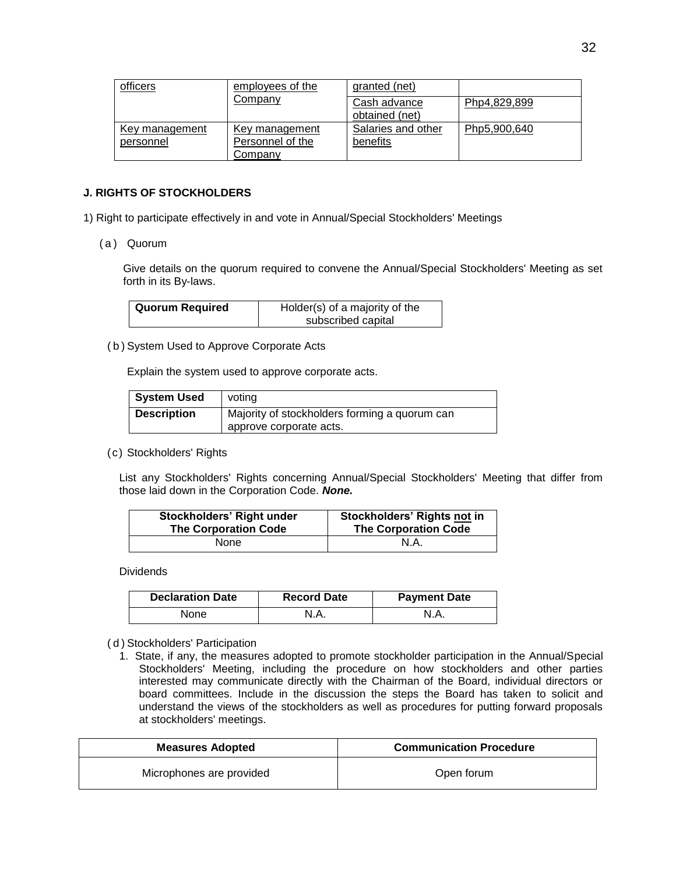| officers                    | employees of the                   | granted (net)                  |              |
|-----------------------------|------------------------------------|--------------------------------|--------------|
|                             | Company                            | Cash advance<br>obtained (net) | Php4,829,899 |
| Key management<br>personnel | Key management<br>Personnel of the | Salaries and other<br>benefits | Php5,900,640 |
|                             | Company                            |                                |              |

### **J. RIGHTS OF STOCKHOLDERS**

1) Right to participate effectively in and vote in Annual/Special Stockholders' Meetings

( a ) Quorum

Give details on the quorum required to convene the Annual/Special Stockholders' Meeting as set forth in its By-laws.

| <b>Quorum Required</b> | Holder(s) of a majority of the |  |
|------------------------|--------------------------------|--|
|                        | subscribed capital             |  |

( b ) System Used to Approve Corporate Acts

Explain the system used to approve corporate acts.

| <b>System Used</b> | voting                                                                   |
|--------------------|--------------------------------------------------------------------------|
| <b>Description</b> | Majority of stockholders forming a quorum can<br>approve corporate acts. |

#### (c) Stockholders' Rights

List any Stockholders' Rights concerning Annual/Special Stockholders' Meeting that differ from those laid down in the Corporation Code. *None.*

| <b>Stockholders' Right under</b> | Stockholders' Rights not in |
|----------------------------------|-----------------------------|
| <b>The Corporation Code</b>      | <b>The Corporation Code</b> |
| None                             | N.A.                        |

#### Dividends

| <b>Declaration Date</b> | <b>Record Date</b> | <b>Payment Date</b> |
|-------------------------|--------------------|---------------------|
| None                    | N.A.               |                     |

#### ( d ) Stockholders' Participation

1. State, if any, the measures adopted to promote stockholder participation in the Annual/Special Stockholders' Meeting, including the procedure on how stockholders and other parties interested may communicate directly with the Chairman of the Board, individual directors or board committees. Include in the discussion the steps the Board has taken to solicit and understand the views of the stockholders as well as procedures for putting forward proposals at stockholders' meetings.

| <b>Measures Adopted</b>  | <b>Communication Procedure</b> |
|--------------------------|--------------------------------|
| Microphones are provided | Open forum                     |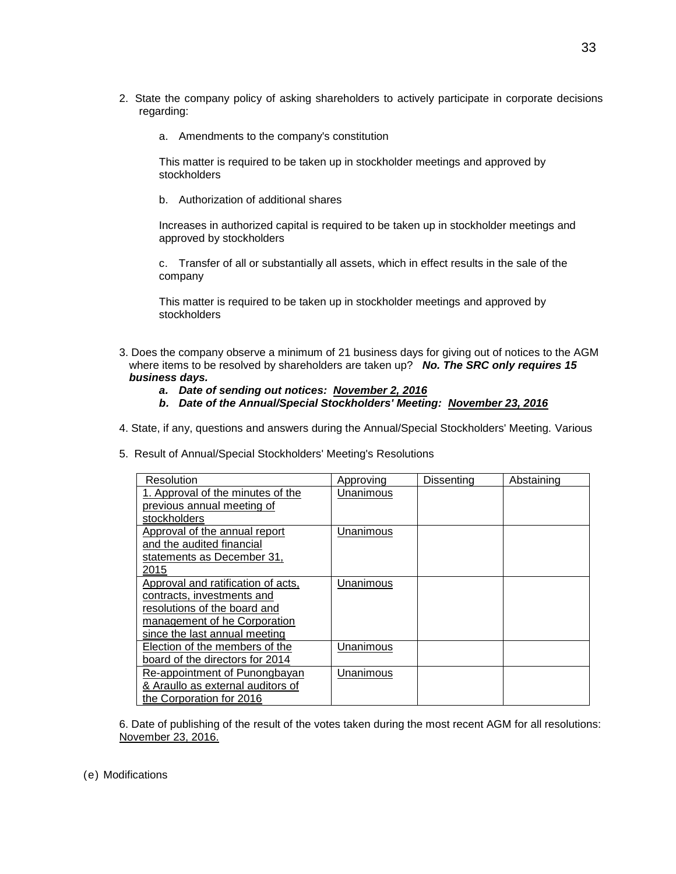- 2. State the company policy of asking shareholders to actively participate in corporate decisions regarding:
	- a. Amendments to the company's constitution

This matter is required to be taken up in stockholder meetings and approved by stockholders

b. Authorization of additional shares

Increases in authorized capital is required to be taken up in stockholder meetings and approved by stockholders

c. Transfer of all or substantially all assets, which in effect results in the sale of the company

This matter is required to be taken up in stockholder meetings and approved by stockholders

- 3. Does the company observe a minimum of 21 business days for giving out of notices to the AGM where items to be resolved by shareholders are taken up? *No. The SRC only requires 15 business days.*
	- *a. Date of sending out notices: November 2, 2016*
	- *b. Date of the Annual/Special Stockholders' Meeting: November 23, 2016*
- 4. State, if any, questions and answers during the Annual/Special Stockholders' Meeting. Various
- 5. Result of Annual/Special Stockholders' Meeting's Resolutions

| Resolution                         | Approving | Dissenting | Abstaining |
|------------------------------------|-----------|------------|------------|
| 1. Approval of the minutes of the  | Unanimous |            |            |
| previous annual meeting of         |           |            |            |
| stockholders                       |           |            |            |
| Approval of the annual report      | Unanimous |            |            |
| and the audited financial          |           |            |            |
| statements as December 31,         |           |            |            |
| 2015                               |           |            |            |
| Approval and ratification of acts, | Unanimous |            |            |
| contracts, investments and         |           |            |            |
| resolutions of the board and       |           |            |            |
| management of he Corporation       |           |            |            |
| since the last annual meeting      |           |            |            |
| Election of the members of the     | Unanimous |            |            |
| board of the directors for 2014    |           |            |            |
| Re-appointment of Punongbayan      | Unanimous |            |            |
| & Araullo as external auditors of  |           |            |            |
| the Corporation for 2016           |           |            |            |

6. Date of publishing of the result of the votes taken during the most recent AGM for all resolutions: November 23, 2016.

(e) Modifications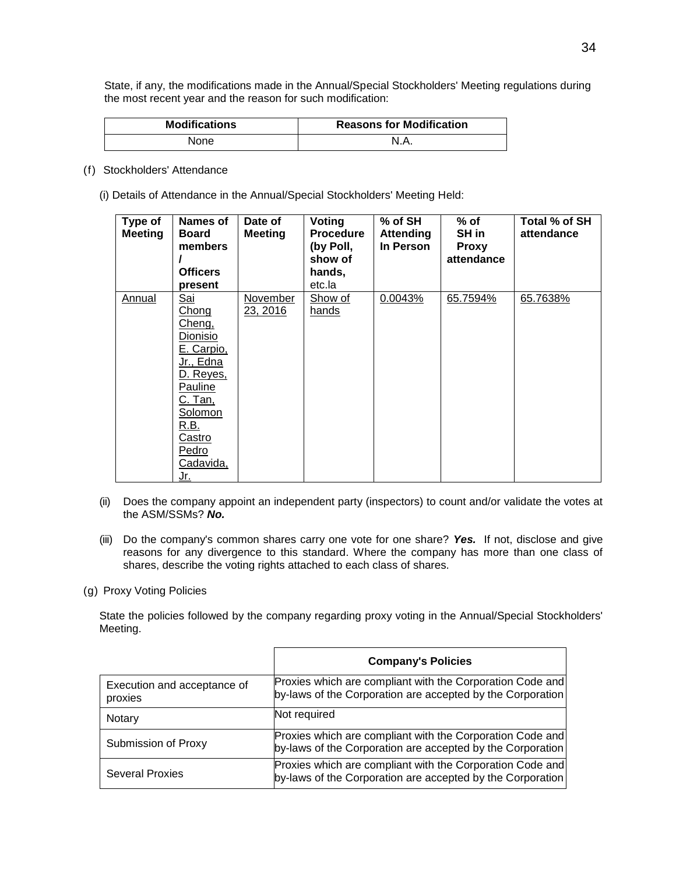State, if any, the modifications made in the Annual/Special Stockholders' Meeting regulations during the most recent year and the reason for such modification:

| <b>Modifications</b> | <b>Reasons for Modification</b> |  |
|----------------------|---------------------------------|--|
| None                 | N.A.                            |  |

- (f) Stockholders' Attendance
	- (i) Details of Attendance in the Annual/Special Stockholders' Meeting Held:

| Type of<br><b>Meeting</b> | Names of<br><b>Board</b><br>members<br><b>Officers</b><br>present                                                                                                         | Date of<br><b>Meeting</b> | Voting<br><b>Procedure</b><br>(by Poll,<br>show of<br>hands,<br>etc.la | $%$ of SH<br><b>Attending</b><br>In Person | % of<br>SH in<br><b>Proxy</b><br>attendance | Total % of SH<br>attendance |
|---------------------------|---------------------------------------------------------------------------------------------------------------------------------------------------------------------------|---------------------------|------------------------------------------------------------------------|--------------------------------------------|---------------------------------------------|-----------------------------|
| Annual                    | <u>Sai</u><br>Chong<br>Cheng,<br>Dionisio<br>E. Carpio,<br>Jr., Edna<br>D. Reyes,<br>Pauline<br><u>C. Tan, </u><br>Solomon<br>R.B.<br>Castro<br>Pedro<br>Cadavida,<br>Jr. | November<br>23, 2016      | Show of<br>hands                                                       | 0.0043%                                    | 65.7594%                                    | 65.7638%                    |

- (ii) Does the company appoint an independent party (inspectors) to count and/or validate the votes at the ASM/SSMs? *No.*
- (iii) Do the company's common shares carry one vote for one share? *Yes.* If not, disclose and give reasons for any divergence to this standard. Where the company has more than one class of shares, describe the voting rights attached to each class of shares.
- (g) Proxy Voting Policies

State the policies followed by the company regarding proxy voting in the Annual/Special Stockholders' Meeting.

|                                        | <b>Company's Policies</b>                                                                                               |
|----------------------------------------|-------------------------------------------------------------------------------------------------------------------------|
| Execution and acceptance of<br>proxies | Proxies which are compliant with the Corporation Code and<br>by-laws of the Corporation are accepted by the Corporation |
| Notary                                 | Not required                                                                                                            |
| Submission of Proxy                    | Proxies which are compliant with the Corporation Code and<br>by-laws of the Corporation are accepted by the Corporation |
| <b>Several Proxies</b>                 | Proxies which are compliant with the Corporation Code and<br>by-laws of the Corporation are accepted by the Corporation |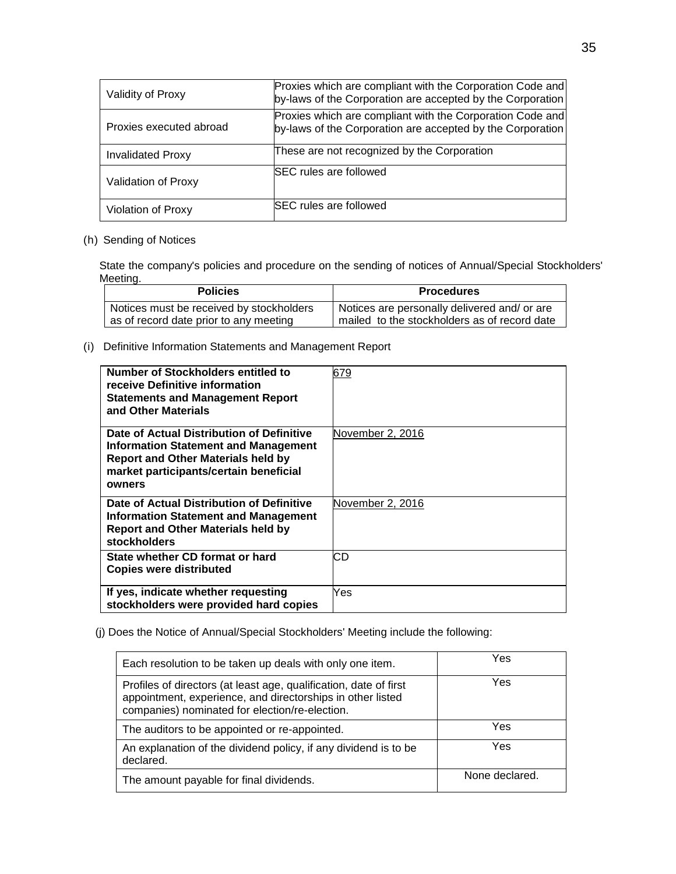| Validity of Proxy        | Proxies which are compliant with the Corporation Code and<br>by-laws of the Corporation are accepted by the Corporation |
|--------------------------|-------------------------------------------------------------------------------------------------------------------------|
| Proxies executed abroad  | Proxies which are compliant with the Corporation Code and<br>by-laws of the Corporation are accepted by the Corporation |
| <b>Invalidated Proxy</b> | These are not recognized by the Corporation                                                                             |
| Validation of Proxy      | <b>SEC</b> rules are followed                                                                                           |
| Violation of Proxy       | <b>SEC rules are followed</b>                                                                                           |

# (h) Sending of Notices

State the company's policies and procedure on the sending of notices of Annual/Special Stockholders' Meeting.

| <b>Policies</b>                          | <b>Procedures</b>                              |
|------------------------------------------|------------------------------------------------|
| Notices must be received by stockholders | I Notices are personally delivered and/ or are |
| as of record date prior to any meeting   | mailed to the stockholders as of record date   |

(i) Definitive Information Statements and Management Report

| Number of Stockholders entitled to<br>receive Definitive information<br><b>Statements and Management Report</b><br>and Other Materials                                             | 679              |
|------------------------------------------------------------------------------------------------------------------------------------------------------------------------------------|------------------|
| Date of Actual Distribution of Definitive<br>Information Statement and Management<br><b>Report and Other Materials held by</b><br>market participants/certain beneficial<br>owners | November 2, 2016 |
| Date of Actual Distribution of Definitive<br>Information Statement and Management<br><b>Report and Other Materials held by</b><br>stockholders                                     | November 2, 2016 |
| State whether CD format or hard<br><b>Copies were distributed</b>                                                                                                                  | СD               |
| If yes, indicate whether requesting<br>stockholders were provided hard copies                                                                                                      | Yes              |

(j) Does the Notice of Annual/Special Stockholders' Meeting include the following:

| Each resolution to be taken up deals with only one item.                                                                                                                          | Yes            |
|-----------------------------------------------------------------------------------------------------------------------------------------------------------------------------------|----------------|
| Profiles of directors (at least age, qualification, date of first<br>appointment, experience, and directorships in other listed<br>companies) nominated for election/re-election. | Yes            |
| The auditors to be appointed or re-appointed.                                                                                                                                     | Yes            |
| An explanation of the dividend policy, if any dividend is to be<br>declared.                                                                                                      | Yes            |
| The amount payable for final dividends.                                                                                                                                           | None declared. |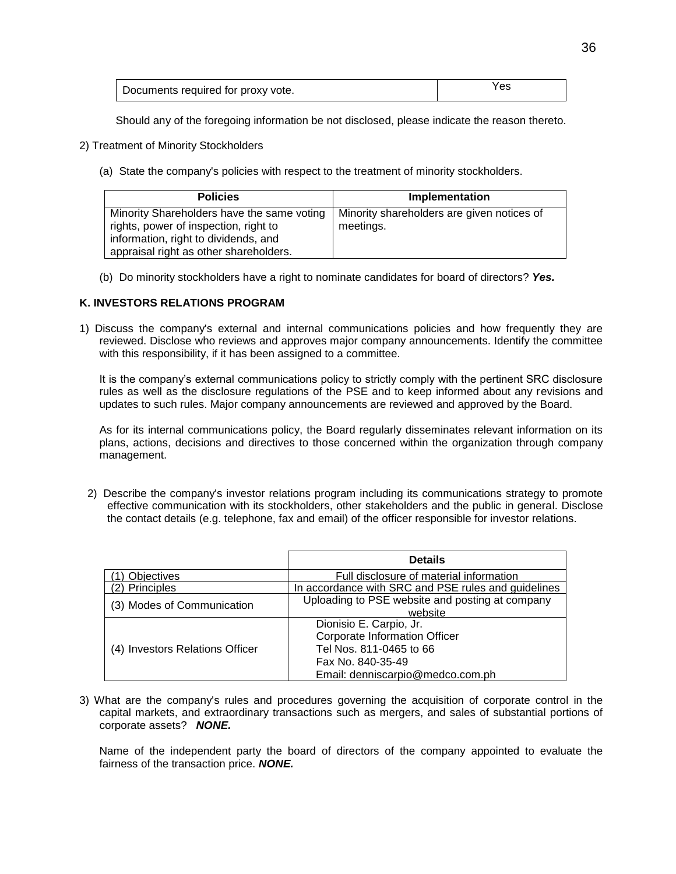| Documents required for proxy vote. | 'es |
|------------------------------------|-----|
|------------------------------------|-----|

Should any of the foregoing information be not disclosed, please indicate the reason thereto.

- 2) Treatment of Minority Stockholders
	- (a) State the company's policies with respect to the treatment of minority stockholders.

| <b>Policies</b>                                                                                                                                                       | Implementation                                          |
|-----------------------------------------------------------------------------------------------------------------------------------------------------------------------|---------------------------------------------------------|
| Minority Shareholders have the same voting<br>rights, power of inspection, right to<br>information, right to dividends, and<br>appraisal right as other shareholders. | Minority shareholders are given notices of<br>meetings. |

(b) Do minority stockholders have a right to nominate candidates for board of directors? *Yes.*

#### **K. INVESTORS RELATIONS PROGRAM**

1) Discuss the company's external and internal communications policies and how frequently they are reviewed. Disclose who reviews and approves major company announcements. Identify the committee with this responsibility, if it has been assigned to a committee.

It is the company's external communications policy to strictly comply with the pertinent SRC disclosure rules as well as the disclosure regulations of the PSE and to keep informed about any revisions and updates to such rules. Major company announcements are reviewed and approved by the Board.

As for its internal communications policy, the Board regularly disseminates relevant information on its plans, actions, decisions and directives to those concerned within the organization through company management.

2) Describe the company's investor relations program including its communications strategy to promote effective communication with its stockholders, other stakeholders and the public in general. Disclose the contact details (e.g. telephone, fax and email) of the officer responsible for investor relations.

|                                 | <b>Details</b>                                                                   |
|---------------------------------|----------------------------------------------------------------------------------|
| Objectives                      | Full disclosure of material information                                          |
| (2) Principles                  | In accordance with SRC and PSE rules and guidelines                              |
| (3) Modes of Communication      | Uploading to PSE website and posting at company<br>website                       |
|                                 | Dionisio E. Carpio, Jr.<br><b>Corporate Information Officer</b>                  |
| (4) Investors Relations Officer | Tel Nos. 811-0465 to 66<br>Fax No. 840-35-49<br>Email: denniscarpio@medco.com.ph |

3) What are the company's rules and procedures governing the acquisition of corporate control in the capital markets, and extraordinary transactions such as mergers, and sales of substantial portions of corporate assets? *NONE.*

Name of the independent party the board of directors of the company appointed to evaluate the fairness of the transaction price. *NONE.*